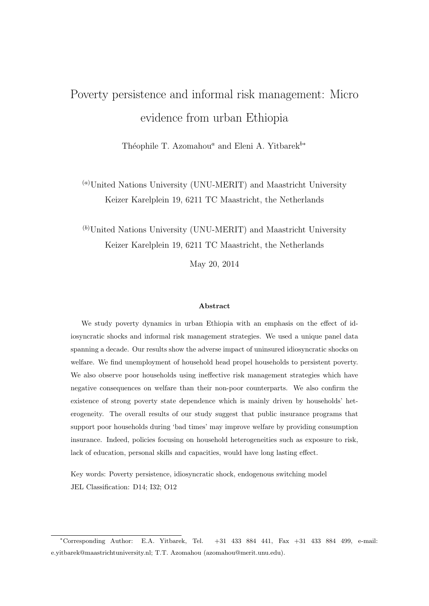# <span id="page-0-0"></span>Poverty persistence and informal risk management: Micro evidence from urban Ethiopia

Théophile T. Azomahou<sup>a</sup> and Eleni A. Yitbarek<sup>b∗</sup>

 $\alpha$ <sup>(a)</sup>United Nations University (UNU-MERIT) and Maastricht University Keizer Karelplein 19, 6211 TC Maastricht, the Netherlands

 $(b)$ United Nations University (UNU-MERIT) and Maastricht University Keizer Karelplein 19, 6211 TC Maastricht, the Netherlands

May 20, 2014

#### Abstract

We study poverty dynamics in urban Ethiopia with an emphasis on the effect of idiosyncratic shocks and informal risk management strategies. We used a unique panel data spanning a decade. Our results show the adverse impact of uninsured idiosyncratic shocks on welfare. We find unemployment of household head propel households to persistent poverty. We also observe poor households using ineffective risk management strategies which have negative consequences on welfare than their non-poor counterparts. We also confirm the existence of strong poverty state dependence which is mainly driven by households' heterogeneity. The overall results of our study suggest that public insurance programs that support poor households during 'bad times' may improve welfare by providing consumption insurance. Indeed, policies focusing on household heterogeneities such as exposure to risk, lack of education, personal skills and capacities, would have long lasting effect.

Key words: Poverty persistence, idiosyncratic shock, endogenous switching model JEL Classification: D14; I32; O12

<sup>∗</sup>Corresponding Author: E.A. Yitbarek, Tel. +31 433 884 441, Fax +31 433 884 499, e-mail: e.yitbarek@maastrichtuniversity.nl; T.T. Azomahou (azomahou@merit.unu.edu).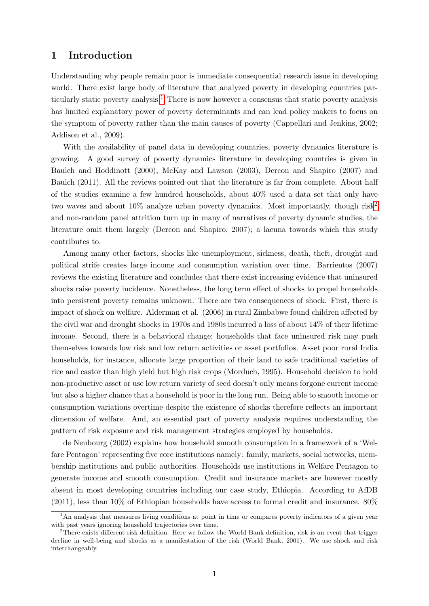## 1 Introduction

Understanding why people remain poor is immediate consequential research issue in developing world. There exist large body of literature that analyzed poverty in developing countries par-ticularly static poverty analysis.<sup>[1](#page-0-0)</sup> There is now however a consensus that static poverty analysis has limited explanatory power of poverty determinants and can lead policy makers to focus on the symptom of poverty rather than the main causes of poverty (Cappellari and Jenkins, 2002; Addison et al., 2009).

With the availability of panel data in developing countries, poverty dynamics literature is growing. A good survey of poverty dynamics literature in developing countries is given in Baulch and Hoddinott (2000), McKay and Lawson (2003), Dercon and Shapiro (2007) and Baulch (2011). All the reviews pointed out that the literature is far from complete. About half of the studies examine a few hundred households, about 40% used a data set that only have two waves and about  $10\%$  analyze urban poverty dynamics. Most importantly, though risk<sup>[2](#page-0-0)</sup> and non-random panel attrition turn up in many of narratives of poverty dynamic studies, the literature omit them largely (Dercon and Shapiro, 2007); a lacuna towards which this study contributes to.

Among many other factors, shocks like unemployment, sickness, death, theft, drought and political strife creates large income and consumption variation over time. Barrientos (2007) reviews the existing literature and concludes that there exist increasing evidence that uninsured shocks raise poverty incidence. Nonetheless, the long term effect of shocks to propel households into persistent poverty remains unknown. There are two consequences of shock. First, there is impact of shock on welfare. Alderman et al. (2006) in rural Zimbabwe found children affected by the civil war and drought shocks in 1970s and 1980s incurred a loss of about 14% of their lifetime income. Second, there is a behavioral change; households that face uninsured risk may push themselves towards low risk and low return activities or asset portfolios. Asset poor rural India households, for instance, allocate large proportion of their land to safe traditional varieties of rice and castor than high yield but high risk crops (Morduch, 1995). Household decision to hold non-productive asset or use low return variety of seed doesn't only means forgone current income but also a higher chance that a household is poor in the long run. Being able to smooth income or consumption variations overtime despite the existence of shocks therefore reflects an important dimension of welfare. And, an essential part of poverty analysis requires understanding the pattern of risk exposure and risk management strategies employed by households.

de Neubourg (2002) explains how household smooth consumption in a framework of a 'Welfare Pentagon' representing five core institutions namely: family, markets, social networks, membership institutions and public authorities. Households use institutions in Welfare Pentagon to generate income and smooth consumption. Credit and insurance markets are however mostly absent in most developing countries including our case study, Ethiopia. According to AfDB  $(2011)$ , less than 10% of Ethiopian households have access to formal credit and insurance. 80%

<sup>&</sup>lt;sup>1</sup>An analysis that measures living conditions at point in time or compares poverty indicators of a given year with past years ignoring household trajectories over time.

<sup>&</sup>lt;sup>2</sup>There exists different risk definition. Here we follow the World Bank definition, risk is an event that trigger decline in well-being and shocks as a manifestation of the risk (World Bank, 2001). We use shock and risk interchangeably.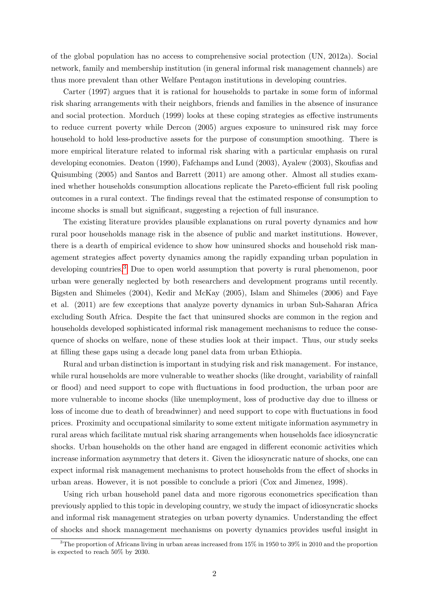of the global population has no access to comprehensive social protection (UN, 2012a). Social network, family and membership institution (in general informal risk management channels) are thus more prevalent than other Welfare Pentagon institutions in developing countries.

Carter (1997) argues that it is rational for households to partake in some form of informal risk sharing arrangements with their neighbors, friends and families in the absence of insurance and social protection. Morduch (1999) looks at these coping strategies as effective instruments to reduce current poverty while Dercon (2005) argues exposure to uninsured risk may force household to hold less-productive assets for the purpose of consumption smoothing. There is more empirical literature related to informal risk sharing with a particular emphasis on rural developing economies. Deaton (1990), Fafchamps and Lund (2003), Ayalew (2003), Skoufias and Quisumbing (2005) and Santos and Barrett (2011) are among other. Almost all studies examined whether households consumption allocations replicate the Pareto-efficient full risk pooling outcomes in a rural context. The findings reveal that the estimated response of consumption to income shocks is small but significant, suggesting a rejection of full insurance.

The existing literature provides plausible explanations on rural poverty dynamics and how rural poor households manage risk in the absence of public and market institutions. However, there is a dearth of empirical evidence to show how uninsured shocks and household risk management strategies affect poverty dynamics among the rapidly expanding urban population in developing countries.<sup>[3](#page-0-0)</sup> Due to open world assumption that poverty is rural phenomenon, poor urban were generally neglected by both researchers and development programs until recently. Bigsten and Shimeles (2004), Kedir and McKay (2005), Islam and Shimeles (2006) and Faye et al. (2011) are few exceptions that analyze poverty dynamics in urban Sub-Saharan Africa excluding South Africa. Despite the fact that uninsured shocks are common in the region and households developed sophisticated informal risk management mechanisms to reduce the consequence of shocks on welfare, none of these studies look at their impact. Thus, our study seeks at filling these gaps using a decade long panel data from urban Ethiopia.

Rural and urban distinction is important in studying risk and risk management. For instance, while rural households are more vulnerable to weather shocks (like drought, variability of rainfall or flood) and need support to cope with fluctuations in food production, the urban poor are more vulnerable to income shocks (like unemployment, loss of productive day due to illness or loss of income due to death of breadwinner) and need support to cope with fluctuations in food prices. Proximity and occupational similarity to some extent mitigate information asymmetry in rural areas which facilitate mutual risk sharing arrangements when households face idiosyncratic shocks. Urban households on the other hand are engaged in different economic activities which increase information asymmetry that deters it. Given the idiosyncratic nature of shocks, one can expect informal risk management mechanisms to protect households from the effect of shocks in urban areas. However, it is not possible to conclude a priori (Cox and Jimenez, 1998).

Using rich urban household panel data and more rigorous econometrics specification than previously applied to this topic in developing country, we study the impact of idiosyncratic shocks and informal risk management strategies on urban poverty dynamics. Understanding the effect of shocks and shock management mechanisms on poverty dynamics provides useful insight in

<sup>&</sup>lt;sup>3</sup>The proportion of Africans living in urban areas increased from 15% in 1950 to 39% in 2010 and the proportion is expected to reach 50% by 2030.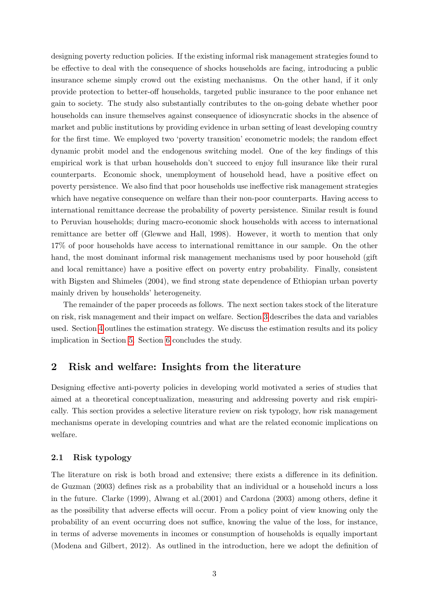designing poverty reduction policies. If the existing informal risk management strategies found to be effective to deal with the consequence of shocks households are facing, introducing a public insurance scheme simply crowd out the existing mechanisms. On the other hand, if it only provide protection to better-off households, targeted public insurance to the poor enhance net gain to society. The study also substantially contributes to the on-going debate whether poor households can insure themselves against consequence of idiosyncratic shocks in the absence of market and public institutions by providing evidence in urban setting of least developing country for the first time. We employed two 'poverty transition' econometric models; the random effect dynamic probit model and the endogenous switching model. One of the key findings of this empirical work is that urban households don't succeed to enjoy full insurance like their rural counterparts. Economic shock, unemployment of household head, have a positive effect on poverty persistence. We also find that poor households use ineffective risk management strategies which have negative consequence on welfare than their non-poor counterparts. Having access to international remittance decrease the probability of poverty persistence. Similar result is found to Peruvian households; during macro-economic shock households with access to international remittance are better off (Glewwe and Hall, 1998). However, it worth to mention that only 17% of poor households have access to international remittance in our sample. On the other hand, the most dominant informal risk management mechanisms used by poor household (gift and local remittance) have a positive effect on poverty entry probability. Finally, consistent with Bigsten and Shimeles (2004), we find strong state dependence of Ethiopian urban poverty mainly driven by households' heterogeneity.

The remainder of the paper proceeds as follows. The next section takes stock of the literature on risk, risk management and their impact on welfare. Section [3](#page-6-0) describes the data and variables used. Section [4](#page-13-0) outlines the estimation strategy. We discuss the estimation results and its policy implication in Section [5.](#page-20-0) Section [6](#page-29-0) concludes the study.

## 2 Risk and welfare: Insights from the literature

Designing effective anti-poverty policies in developing world motivated a series of studies that aimed at a theoretical conceptualization, measuring and addressing poverty and risk empirically. This section provides a selective literature review on risk typology, how risk management mechanisms operate in developing countries and what are the related economic implications on welfare.

#### 2.1 Risk typology

The literature on risk is both broad and extensive; there exists a difference in its definition. de Guzman (2003) defines risk as a probability that an individual or a household incurs a loss in the future. Clarke (1999), Alwang et al.(2001) and Cardona (2003) among others, define it as the possibility that adverse effects will occur. From a policy point of view knowing only the probability of an event occurring does not suffice, knowing the value of the loss, for instance, in terms of adverse movements in incomes or consumption of households is equally important (Modena and Gilbert, 2012). As outlined in the introduction, here we adopt the definition of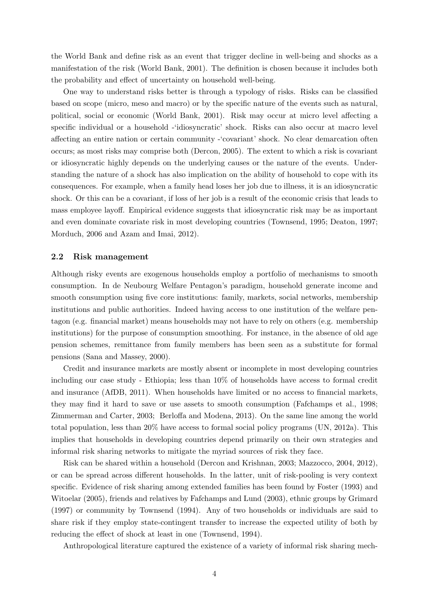the World Bank and define risk as an event that trigger decline in well-being and shocks as a manifestation of the risk (World Bank, 2001). The definition is chosen because it includes both the probability and effect of uncertainty on household well-being.

One way to understand risks better is through a typology of risks. Risks can be classified based on scope (micro, meso and macro) or by the specific nature of the events such as natural, political, social or economic (World Bank, 2001). Risk may occur at micro level affecting a specific individual or a household -'idiosyncratic' shock. Risks can also occur at macro level affecting an entire nation or certain community -'covariant' shock. No clear demarcation often occurs; as most risks may comprise both (Dercon, 2005). The extent to which a risk is covariant or idiosyncratic highly depends on the underlying causes or the nature of the events. Understanding the nature of a shock has also implication on the ability of household to cope with its consequences. For example, when a family head loses her job due to illness, it is an idiosyncratic shock. Or this can be a covariant, if loss of her job is a result of the economic crisis that leads to mass employee layoff. Empirical evidence suggests that idiosyncratic risk may be as important and even dominate covariate risk in most developing countries (Townsend, 1995; Deaton, 1997; Morduch, 2006 and Azam and Imai, 2012).

#### 2.2 Risk management

Although risky events are exogenous households employ a portfolio of mechanisms to smooth consumption. In de Neubourg Welfare Pentagon's paradigm, household generate income and smooth consumption using five core institutions: family, markets, social networks, membership institutions and public authorities. Indeed having access to one institution of the welfare pentagon (e.g. financial market) means households may not have to rely on others (e.g. membership institutions) for the purpose of consumption smoothing. For instance, in the absence of old age pension schemes, remittance from family members has been seen as a substitute for formal pensions (Sana and Massey, 2000).

Credit and insurance markets are mostly absent or incomplete in most developing countries including our case study - Ethiopia; less than 10% of households have access to formal credit and insurance (AfDB, 2011). When households have limited or no access to financial markets, they may find it hard to save or use assets to smooth consumption (Fafchamps et al., 1998; Zimmerman and Carter, 2003; Berloffa and Modena, 2013). On the same line among the world total population, less than 20% have access to formal social policy programs (UN, 2012a). This implies that households in developing countries depend primarily on their own strategies and informal risk sharing networks to mitigate the myriad sources of risk they face.

Risk can be shared within a household (Dercon and Krishnan, 2003; Mazzocco, 2004, 2012), or can be spread across different households. In the latter, unit of risk-pooling is very context specific. Evidence of risk sharing among extended families has been found by Foster (1993) and Witoelar (2005), friends and relatives by Fafchamps and Lund (2003), ethnic groups by Grimard (1997) or community by Townsend (1994). Any of two households or individuals are said to share risk if they employ state-contingent transfer to increase the expected utility of both by reducing the effect of shock at least in one (Townsend, 1994).

Anthropological literature captured the existence of a variety of informal risk sharing mech-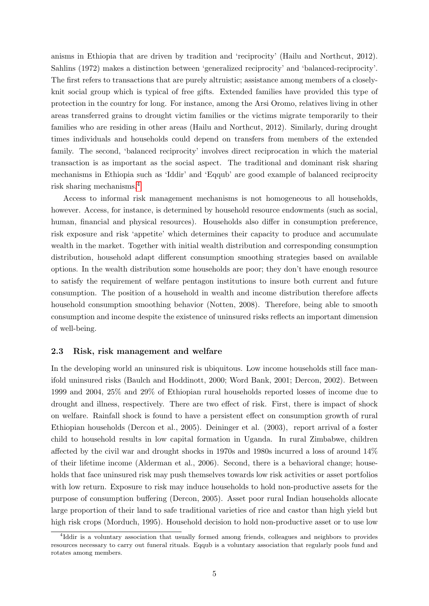anisms in Ethiopia that are driven by tradition and 'reciprocity' (Hailu and Northcut, 2012). Sahlins (1972) makes a distinction between 'generalized reciprocity' and 'balanced-reciprocity'. The first refers to transactions that are purely altruistic; assistance among members of a closelyknit social group which is typical of free gifts. Extended families have provided this type of protection in the country for long. For instance, among the Arsi Oromo, relatives living in other areas transferred grains to drought victim families or the victims migrate temporarily to their families who are residing in other areas (Hailu and Northcut, 2012). Similarly, during drought times individuals and households could depend on transfers from members of the extended family. The second, 'balanced reciprocity' involves direct reciprocation in which the material transaction is as important as the social aspect. The traditional and dominant risk sharing mechanisms in Ethiopia such as 'Iddir' and 'Eqqub' are good example of balanced reciprocity risk sharing mechanisms.[4](#page-0-0)

Access to informal risk management mechanisms is not homogeneous to all households, however. Access, for instance, is determined by household resource endowments (such as social, human, financial and physical resources). Households also differ in consumption preference, risk exposure and risk 'appetite' which determines their capacity to produce and accumulate wealth in the market. Together with initial wealth distribution and corresponding consumption distribution, household adapt different consumption smoothing strategies based on available options. In the wealth distribution some households are poor; they don't have enough resource to satisfy the requirement of welfare pentagon institutions to insure both current and future consumption. The position of a household in wealth and income distribution therefore affects household consumption smoothing behavior (Notten, 2008). Therefore, being able to smooth consumption and income despite the existence of uninsured risks reflects an important dimension of well-being.

#### 2.3 Risk, risk management and welfare

In the developing world an uninsured risk is ubiquitous. Low income households still face manifold uninsured risks (Baulch and Hoddinott, 2000; Word Bank, 2001; Dercon, 2002). Between 1999 and 2004, 25% and 29% of Ethiopian rural households reported losses of income due to drought and illness, respectively. There are two effect of risk. First, there is impact of shock on welfare. Rainfall shock is found to have a persistent effect on consumption growth of rural Ethiopian households (Dercon et al., 2005). Deininger et al. (2003), report arrival of a foster child to household results in low capital formation in Uganda. In rural Zimbabwe, children affected by the civil war and drought shocks in 1970s and 1980s incurred a loss of around 14% of their lifetime income (Alderman et al., 2006). Second, there is a behavioral change; households that face uninsured risk may push themselves towards low risk activities or asset portfolios with low return. Exposure to risk may induce households to hold non-productive assets for the purpose of consumption buffering (Dercon, 2005). Asset poor rural Indian households allocate large proportion of their land to safe traditional varieties of rice and castor than high yield but high risk crops (Morduch, 1995). Household decision to hold non-productive asset or to use low

<sup>4</sup> Iddir is a voluntary association that usually formed among friends, colleagues and neighbors to provides resources necessary to carry out funeral rituals. Eqqub is a voluntary association that regularly pools fund and rotates among members.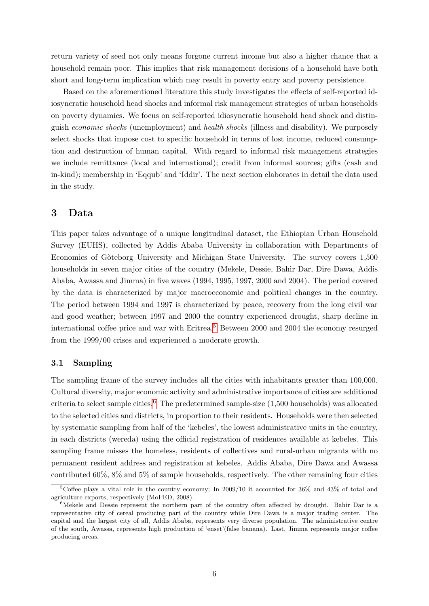return variety of seed not only means forgone current income but also a higher chance that a household remain poor. This implies that risk management decisions of a household have both short and long-term implication which may result in poverty entry and poverty persistence.

Based on the aforementioned literature this study investigates the effects of self-reported idiosyncratic household head shocks and informal risk management strategies of urban households on poverty dynamics. We focus on self-reported idiosyncratic household head shock and distinguish economic shocks (unemployment) and health shocks (illness and disability). We purposely select shocks that impose cost to specific household in terms of lost income, reduced consumption and destruction of human capital. With regard to informal risk management strategies we include remittance (local and international); credit from informal sources; gifts (cash and in-kind); membership in 'Eqqub' and 'Iddir'. The next section elaborates in detail the data used in the study.

## <span id="page-6-0"></span>3 Data

This paper takes advantage of a unique longitudinal dataset, the Ethiopian Urban Household Survey (EUHS), collected by Addis Ababa University in collaboration with Departments of Economics of G`oteborg University and Michigan State University. The survey covers 1,500 households in seven major cities of the country (Mekele, Dessie, Bahir Dar, Dire Dawa, Addis Ababa, Awassa and Jimma) in five waves (1994, 1995, 1997, 2000 and 2004). The period covered by the data is characterized by major macroeconomic and political changes in the country. The period between 1994 and 1997 is characterized by peace, recovery from the long civil war and good weather; between 1997 and 2000 the country experienced drought, sharp decline in international coffee price and war with Eritrea.<sup>[5](#page-0-0)</sup> Between 2000 and 2004 the economy resurged from the 1999/00 crises and experienced a moderate growth.

#### 3.1 Sampling

The sampling frame of the survey includes all the cities with inhabitants greater than 100,000. Cultural diversity, major economic activity and administrative importance of cities are additional criteria to select sample cities.<sup>[6](#page-0-0)</sup> The predetermined sample-size  $(1,500$  households) was allocated to the selected cities and districts, in proportion to their residents. Households were then selected by systematic sampling from half of the 'kebeles', the lowest administrative units in the country, in each districts (wereda) using the official registration of residences available at kebeles. This sampling frame misses the homeless, residents of collectives and rural-urban migrants with no permanent resident address and registration at kebeles. Addis Ababa, Dire Dawa and Awassa contributed 60%, 8% and 5% of sample households, respectively. The other remaining four cities

<sup>&</sup>lt;sup>5</sup>Coffee plays a vital role in the country economy; In 2009/10 it accounted for 36% and 43% of total and agriculture exports, respectively (MoFED, 2008).

 $6$ Mekele and Dessie represent the northern part of the country often affected by drought. Bahir Dar is a representative city of cereal producing part of the country while Dire Dawa is a major trading center. The capital and the largest city of all, Addis Ababa, represents very diverse population. The administrative centre of the south, Awassa, represents high production of 'enset'(false banana). Last, Jimma represents major coffee producing areas.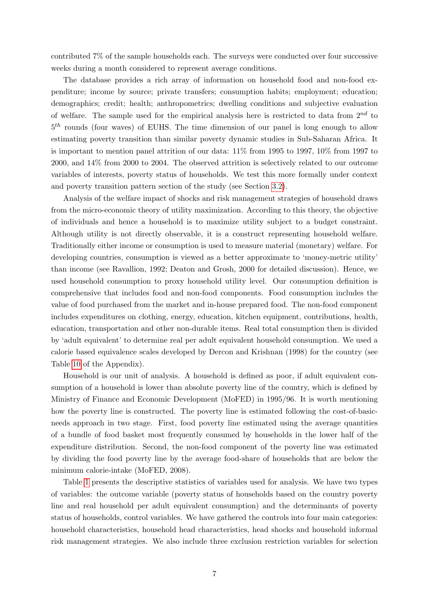contributed 7% of the sample households each. The surveys were conducted over four successive weeks during a month considered to represent average conditions.

The database provides a rich array of information on household food and non-food expenditure; income by source; private transfers; consumption habits; employment; education; demographics; credit; health; anthropometrics; dwelling conditions and subjective evaluation of welfare. The sample used for the empirical analysis here is restricted to data from  $2^{nd}$  to  $5<sup>th</sup>$  rounds (four waves) of EUHS. The time dimension of our panel is long enough to allow estimating poverty transition than similar poverty dynamic studies in Sub-Saharan Africa. It is important to mention panel attrition of our data: 11% from 1995 to 1997, 10% from 1997 to 2000, and 14% from 2000 to 2004. The observed attrition is selectively related to our outcome variables of interests, poverty status of households. We test this more formally under context and poverty transition pattern section of the study (see Section [3.2\)](#page-8-0).

Analysis of the welfare impact of shocks and risk management strategies of household draws from the micro-economic theory of utility maximization. According to this theory, the objective of individuals and hence a household is to maximize utility subject to a budget constraint. Although utility is not directly observable, it is a construct representing household welfare. Traditionally either income or consumption is used to measure material (monetary) welfare. For developing countries, consumption is viewed as a better approximate to 'money-metric utility' than income (see Ravallion, 1992; Deaton and Grosh, 2000 for detailed discussion). Hence, we used household consumption to proxy household utility level. Our consumption definition is comprehensive that includes food and non-food components. Food consumption includes the value of food purchased from the market and in-house prepared food. The non-food component includes expenditures on clothing, energy, education, kitchen equipment, contributions, health, education, transportation and other non-durable items. Real total consumption then is divided by 'adult equivalent' to determine real per adult equivalent household consumption. We used a calorie based equivalence scales developed by Dercon and Krishnan (1998) for the country (see Table [10](#page-36-0) of the Appendix).

Household is our unit of analysis. A household is defined as poor, if adult equivalent consumption of a household is lower than absolute poverty line of the country, which is defined by Ministry of Finance and Economic Development (MoFED) in 1995/96. It is worth mentioning how the poverty line is constructed. The poverty line is estimated following the cost-of-basicneeds approach in two stage. First, food poverty line estimated using the average quantities of a bundle of food basket most frequently consumed by households in the lower half of the expenditure distribution. Second, the non-food component of the poverty line was estimated by dividing the food poverty line by the average food-share of households that are below the minimum calorie-intake (MoFED, 2008).

Table [1](#page-8-1) presents the descriptive statistics of variables used for analysis. We have two types of variables: the outcome variable (poverty status of households based on the country poverty line and real household per adult equivalent consumption) and the determinants of poverty status of households, control variables. We have gathered the controls into four main categories: household characteristics, household head characteristics, head shocks and household informal risk management strategies. We also include three exclusion restriction variables for selection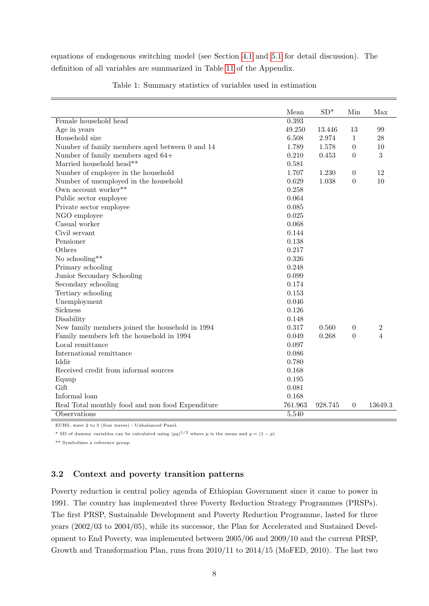<span id="page-8-1"></span>equations of endogenous switching model (see Section [4.1](#page-15-0) and [5.1](#page-20-1) for detail discussion). The definition of all variables are summarized in Table [11](#page-37-0) of the Appendix.

|                                                    | Mean    | $SD*$   | Min              | Max            |
|----------------------------------------------------|---------|---------|------------------|----------------|
| Female household head                              | 0.393   |         |                  |                |
| Age in years                                       | 49.250  | 13.446  | 13               | 99             |
| Household size                                     | 6.508   | 2.974   | $\mathbf{1}$     | 28             |
| Number of family members aged between $0$ and $14$ | 1.789   | 1.578   | $\theta$         | 10             |
| Number of family members aged 64+                  | 0.210   | 0.453   | $\theta$         | 3              |
| Married household head**                           | 0.581   |         |                  |                |
| Number of employee in the household                | 1.707   | 1.230   | $\overline{0}$   | 12             |
| Number of unemployed in the household              | 0.629   | 1.038   | $\theta$         | 10             |
| Own account worker**                               | 0.258   |         |                  |                |
| Public sector employee                             | 0.064   |         |                  |                |
| Private sector employee                            | 0.085   |         |                  |                |
| NGO employee                                       | 0.025   |         |                  |                |
| Casual worker                                      | 0.068   |         |                  |                |
| Civil servant                                      | 0.144   |         |                  |                |
| Pensioner                                          | 0.138   |         |                  |                |
| Others                                             | 0.217   |         |                  |                |
| No schooling**                                     | 0.326   |         |                  |                |
| Primary schooling                                  | 0.248   |         |                  |                |
| Junior Secondary Schooling                         | 0.099   |         |                  |                |
| Secondary schooling                                | 0.174   |         |                  |                |
| Tertiary schooling                                 | 0.153   |         |                  |                |
| Unemployment                                       | 0.046   |         |                  |                |
| Sickness                                           | 0.126   |         |                  |                |
| Disability                                         | 0.148   |         |                  |                |
| New family members joined the household in 1994    | 0.317   | 0.560   | $\theta$         | $\overline{2}$ |
| Family members left the household in 1994          | 0.049   | 0.268   | $\theta$         | $\overline{4}$ |
| Local remittance                                   | 0.097   |         |                  |                |
| International remittance                           | 0.086   |         |                  |                |
| Iddir                                              | 0.780   |         |                  |                |
| Received credit from informal sources              | 0.168   |         |                  |                |
| Equup                                              | 0.195   |         |                  |                |
| Gift                                               | 0.081   |         |                  |                |
| Informal loan                                      | 0.168   |         |                  |                |
| Real Total monthly food and non food Expenditure   | 761.963 | 928.745 | $\boldsymbol{0}$ | 13649.3        |
| Observations                                       | 5,540   |         |                  |                |

Table 1: Summary statistics of variables used in estimation

EUHS, wave 2 to 5 (four waves) - Unbalanced Panel.

\* SD of dummy variables can be calculated using  $(pq)^{1/2}$  where p is the mean and  $q = (1 - p)$ 

\*\* Symbolizes a reference group.

## <span id="page-8-0"></span>3.2 Context and poverty transition patterns

Poverty reduction is central policy agenda of Ethiopian Government since it came to power in 1991. The country has implemented three Poverty Reduction Strategy Programmes (PRSPs). The first PRSP, Sustainable Development and Poverty Reduction Programme, lasted for three years (2002/03 to 2004/05), while its successor, the Plan for Accelerated and Sustained Development to End Poverty, was implemented between 2005/06 and 2009/10 and the current PRSP, Growth and Transformation Plan, runs from 2010/11 to 2014/15 (MoFED, 2010). The last two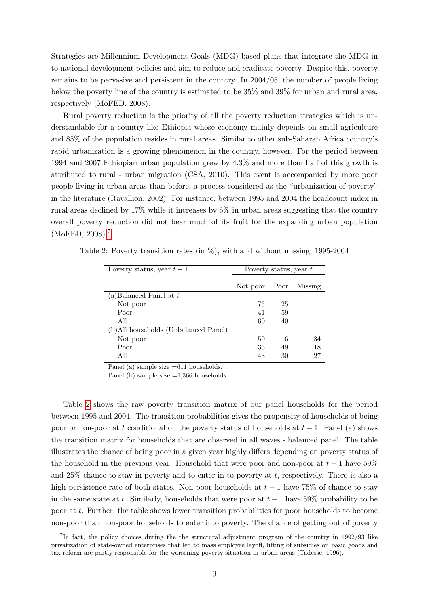Strategies are Millennium Development Goals (MDG) based plans that integrate the MDG in to national development policies and aim to reduce and eradicate poverty. Despite this, poverty remains to be pervasive and persistent in the country. In 2004/05, the number of people living below the poverty line of the country is estimated to be 35% and 39% for urban and rural area, respectively (MoFED, 2008).

Rural poverty reduction is the priority of all the poverty reduction strategies which is understandable for a country like Ethiopia whose economy mainly depends on small agriculture and 85% of the population resides in rural areas. Similar to other sub-Saharan Africa country's rapid urbanization is a growing phenomenon in the country, however. For the period between 1994 and 2007 Ethiopian urban population grew by 4.3% and more than half of this growth is attributed to rural - urban migration (CSA, 2010). This event is accompanied by more poor people living in urban areas than before, a process considered as the "urbanization of poverty" in the literature (Ravallion, 2002). For instance, between 1995 and 2004 the headcount index in rural areas declined by 17% while it increases by 6% in urban areas suggesting that the country overall poverty reduction did not bear much of its fruit for the expanding urban population (MoFED, 2008).[7](#page-0-0)

| Poverty status, year $t-1$           |          | Poverty status, year $t$ |         |  |
|--------------------------------------|----------|--------------------------|---------|--|
|                                      |          |                          |         |  |
|                                      | Not poor | Poor                     | Missing |  |
| (a) Balanced Panel at $t$            |          |                          |         |  |
| Not poor                             | 75       | 25                       |         |  |
| Poor                                 | 41       | 59                       |         |  |
| All                                  | 60       | 40                       |         |  |
| (b)All households (Unbalanced Panel) |          |                          |         |  |
| Not poor                             | 50       | 16                       | 34      |  |
| Poor                                 | 33       | 49                       | 18      |  |
| All                                  | 43       | 30                       | 27      |  |

<span id="page-9-0"></span>Table 2: Poverty transition rates (in %), with and without missing, 1995-2004

Panel (a) sample size =611 households.

Panel (b) sample size  $=1,366$  households.

Table [2](#page-9-0) shows the raw poverty transition matrix of our panel households for the period between 1995 and 2004. The transition probabilities gives the propensity of households of being poor or non-poor at t conditional on the poverty status of households at  $t-1$ . Panel (a) shows the transition matrix for households that are observed in all waves - balanced panel. The table illustrates the chance of being poor in a given year highly differs depending on poverty status of the household in the previous year. Household that were poor and non-poor at  $t-1$  have 59% and  $25\%$  chance to stay in poverty and to enter in to poverty at t, respectively. There is also a high persistence rate of both states. Non-poor households at  $t-1$  have 75% of chance to stay in the same state at t. Similarly, households that were poor at  $t-1$  have 59% probability to be poor at t. Further, the table shows lower transition probabilities for poor households to become non-poor than non-poor households to enter into poverty. The chance of getting out of poverty

<sup>&</sup>lt;sup>7</sup>In fact, the policy choices during the the structural adjustment program of the country in 1992/93 like privatization of state-owned enterprises that led to mass employee layoff, lifting of subsidies on basic goods and tax reform are partly responsible for the worsening poverty situation in urban areas (Tadesse, 1996).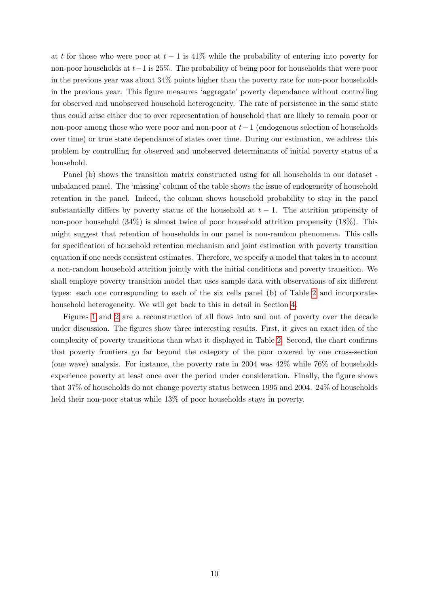at t for those who were poor at  $t-1$  is 41% while the probability of entering into poverty for non-poor households at  $t-1$  is 25%. The probability of being poor for households that were poor in the previous year was about 34% points higher than the poverty rate for non-poor households in the previous year. This figure measures 'aggregate' poverty dependance without controlling for observed and unobserved household heterogeneity. The rate of persistence in the same state thus could arise either due to over representation of household that are likely to remain poor or non-poor among those who were poor and non-poor at  $t-1$  (endogenous selection of households over time) or true state dependance of states over time. During our estimation, we address this problem by controlling for observed and unobserved determinants of initial poverty status of a household.

Panel (b) shows the transition matrix constructed using for all households in our dataset unbalanced panel. The 'missing' column of the table shows the issue of endogeneity of household retention in the panel. Indeed, the column shows household probability to stay in the panel substantially differs by poverty status of the household at  $t-1$ . The attrition propensity of non-poor household (34%) is almost twice of poor household attrition propensity (18%). This might suggest that retention of households in our panel is non-random phenomena. This calls for specification of household retention mechanism and joint estimation with poverty transition equation if one needs consistent estimates. Therefore, we specify a model that takes in to account a non-random household attrition jointly with the initial conditions and poverty transition. We shall employe poverty transition model that uses sample data with observations of six different types: each one corresponding to each of the six cells panel (b) of Table [2](#page-9-0) and incorporates household heterogeneity. We will get back to this in detail in Section [4.](#page-13-0)

Figures [1](#page-11-0) and [2](#page-11-1) are a reconstruction of all flows into and out of poverty over the decade under discussion. The figures show three interesting results. First, it gives an exact idea of the complexity of poverty transitions than what it displayed in Table [2.](#page-9-0) Second, the chart confirms that poverty frontiers go far beyond the category of the poor covered by one cross-section (one wave) analysis. For instance, the poverty rate in 2004 was 42% while 76% of households experience poverty at least once over the period under consideration. Finally, the figure shows that 37% of households do not change poverty status between 1995 and 2004. 24% of households held their non-poor status while 13% of poor households stays in poverty.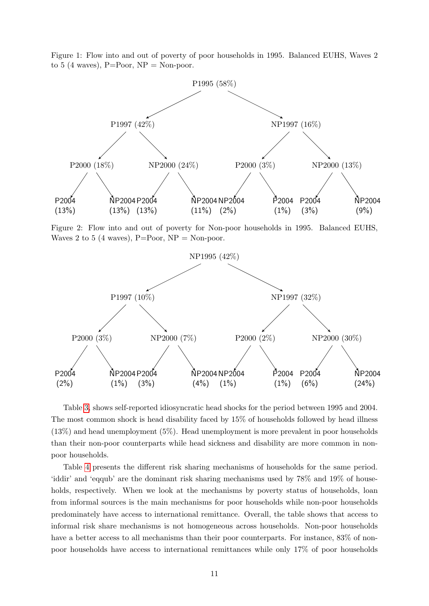<span id="page-11-0"></span>Figure 1: Flow into and out of poverty of poor households in 1995. Balanced EUHS, Waves 2 to 5 (4 waves),  $P = Poor$ ,  $NP = Non-poor$ .



<span id="page-11-1"></span>Figure 2: Flow into and out of poverty for Non-poor households in 1995. Balanced EUHS, Waves 2 to 5 (4 waves),  $P=Poor$ ,  $NP = Non-poor$ .



Table [3,](#page-12-0) shows self-reported idiosyncratic head shocks for the period between 1995 and 2004. The most common shock is head disability faced by 15% of households followed by head illness (13%) and head unemployment (5%). Head unemployment is more prevalent in poor households than their non-poor counterparts while head sickness and disability are more common in nonpoor households.

Table [4](#page-12-1) presents the different risk sharing mechanisms of households for the same period. 'iddir' and 'eqqub' are the dominant risk sharing mechanisms used by 78% and 19% of households, respectively. When we look at the mechanisms by poverty status of households, loan from informal sources is the main mechanisms for poor households while non-poor households predominately have access to international remittance. Overall, the table shows that access to informal risk share mechanisms is not homogeneous across households. Non-poor households have a better access to all mechanisms than their poor counterparts. For instance,  $83\%$  of nonpoor households have access to international remittances while only 17% of poor households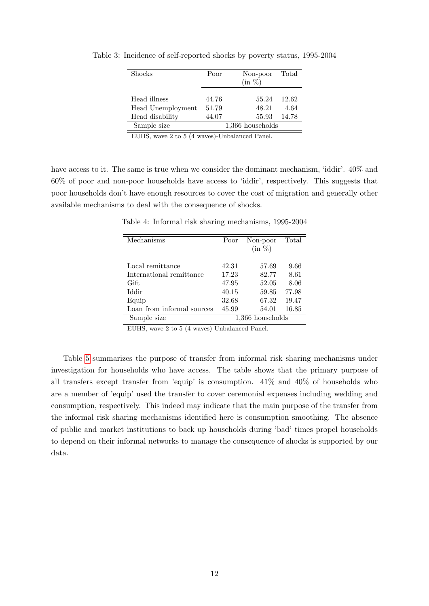| <b>Shocks</b>                     | Poor           | Non-poor<br>$(in \%)$ | Total         |
|-----------------------------------|----------------|-----------------------|---------------|
| Head illness<br>Head Unemployment | 44.76<br>51.79 | 55.24<br>48.21        | 12.62<br>4.64 |
| Head disability                   | 44.07          | 55.93                 | 14.78         |
| Sample size                       |                | $1,366$ households    |               |

<span id="page-12-0"></span>Table 3: Incidence of self-reported shocks by poverty status, 1995-2004

EUHS, wave 2 to 5 (4 waves)-Unbalanced Panel.

<span id="page-12-1"></span>have access to it. The same is true when we consider the dominant mechanism, 'iddir'.  $40\%$  and 60% of poor and non-poor households have access to 'iddir', respectively. This suggests that poor households don't have enough resources to cover the cost of migration and generally other available mechanisms to deal with the consequence of shocks.

Table 4: Informal risk sharing mechanisms, 1995-2004

| Mechanisms                 | Poor  | Non-poor         | Total |
|----------------------------|-------|------------------|-------|
|                            |       | $(in \%)$        |       |
|                            |       |                  |       |
| Local remittance           | 42.31 | 57.69            | 9.66  |
| International remittance   | 17.23 | 82.77            | 8.61  |
| Gift                       | 47.95 | 52.05            | 8.06  |
| Iddir                      | 40.15 | 59.85            | 77.98 |
| Equip                      | 32.68 | 67.32            | 19.47 |
| Loan from informal sources | 45.99 | 54.01            | 16.85 |
| Sample size                |       | 1,366 households |       |

EUHS, wave 2 to 5 (4 waves)-Unbalanced Panel.

Table [5](#page-13-1) summarizes the purpose of transfer from informal risk sharing mechanisms under investigation for households who have access. The table shows that the primary purpose of all transfers except transfer from 'equip' is consumption. 41% and 40% of households who are a member of 'equip' used the transfer to cover ceremonial expenses including wedding and consumption, respectively. This indeed may indicate that the main purpose of the transfer from the informal risk sharing mechanisms identified here is consumption smoothing. The absence of public and market institutions to back up households during 'bad' times propel households to depend on their informal networks to manage the consequence of shocks is supported by our data.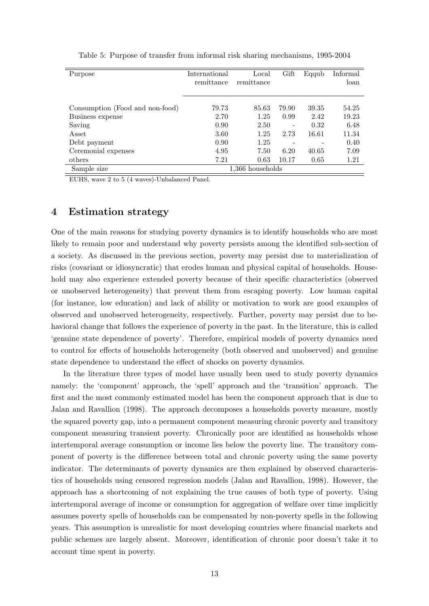<span id="page-13-1"></span>

| Purpose                         | International | Local              | Gift  | Eqqub | Informal |
|---------------------------------|---------------|--------------------|-------|-------|----------|
|                                 | remittance    | remittance         |       |       | loan     |
|                                 |               |                    |       |       |          |
|                                 | 79.73         | 85.63              | 79.90 | 39.35 | 54.25    |
| Consumption (Food and non-food) |               |                    |       |       |          |
| Business expense                | 2.70          | 1.25               | 0.99  | 2.42  | 19.23    |
| Saving                          | 0.90          | 2.50               | -     | 0.32  | 6.48     |
| Asset                           | 3.60          | 1.25               | 2.73  | 16.61 | 11.34    |
| Debt payment                    | 0.90          | 1.25               |       |       | 0.40     |
| Ceremonial expenses             | 4.95          | 7.50               | 6.20  | 40.65 | 7.09     |
| others                          | 7.21          | 0.63               | 10.17 | 0.65  | 1.21     |
| Sample size                     |               | $1,366$ households |       |       |          |

Table 5: Purpose of transfer from informal risk sharing mechanisms, 1995-2004

EUHS, wave 2 to 5 (4 waves)-Unbalanced Panel.

## <span id="page-13-0"></span>4 Estimation strategy

One of the main reasons for studying poverty dynamics is to identify households who are most likely to remain poor and understand why poverty persists among the identified sub-section of a society. As discussed in the previous section, poverty may persist due to materialization of risks (covariant or idiosyncratic) that erodes human and physical capital of households. Household may also experience extended poverty because of their specific characteristics (observed or unobserved heterogeneity) that prevent them from escaping poverty. Low human capital (for instance, low education) and lack of ability or motivation to work are good examples of observed and unobserved heterogeneity, respectively. Further, poverty may persist due to behavioral change that follows the experience of poverty in the past. In the literature, this is called 'genuine state dependence of poverty'. Therefore, empirical models of poverty dynamics need to control for effects of households heterogeneity (both observed and unobserved) and genuine state dependence to understand the effect of shocks on poverty dynamics.

In the literature three types of model have usually been used to study poverty dynamics namely: the 'component' approach, the 'spell' approach and the 'transition' approach. The first and the most commonly estimated model has been the component approach that is due to Jalan and Ravallion (1998). The approach decomposes a households poverty measure, mostly the squared poverty gap, into a permanent component measuring chronic poverty and transitory component measuring transient poverty. Chronically poor are identified as households whose intertemporal average consumption or income lies below the poverty line. The transitory component of poverty is the difference between total and chronic poverty using the same poverty indicator. The determinants of poverty dynamics are then explained by observed characteristics of households using censored regression models (Jalan and Ravallion, 1998). However, the approach has a shortcoming of not explaining the true causes of both type of poverty. Using intertemporal average of income or consumption for aggregation of welfare over time implicitly assumes poverty spells of households can be compensated by non-poverty spells in the following years. This assumption is unrealistic for most developing countries where financial markets and public schemes are largely absent. Moreover, identification of chronic poor doesn't take it to account time spent in poverty.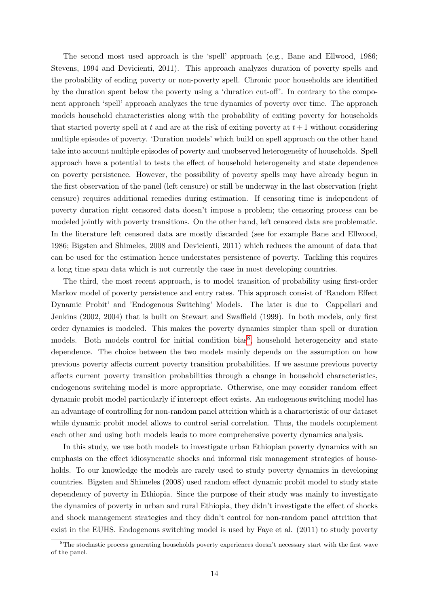The second most used approach is the 'spell' approach (e.g., Bane and Ellwood, 1986; Stevens, 1994 and Devicienti, 2011). This approach analyzes duration of poverty spells and the probability of ending poverty or non-poverty spell. Chronic poor households are identified by the duration spent below the poverty using a 'duration cut-off'. In contrary to the component approach 'spell' approach analyzes the true dynamics of poverty over time. The approach models household characteristics along with the probability of exiting poverty for households that started poverty spell at t and are at the risk of exiting poverty at  $t + 1$  without considering multiple episodes of poverty. 'Duration models' which build on spell approach on the other hand take into account multiple episodes of poverty and unobserved heterogeneity of households. Spell approach have a potential to tests the effect of household heterogeneity and state dependence on poverty persistence. However, the possibility of poverty spells may have already begun in the first observation of the panel (left censure) or still be underway in the last observation (right censure) requires additional remedies during estimation. If censoring time is independent of poverty duration right censored data doesn't impose a problem; the censoring process can be modeled jointly with poverty transitions. On the other hand, left censored data are problematic. In the literature left censored data are mostly discarded (see for example Bane and Ellwood, 1986; Bigsten and Shimeles, 2008 and Devicienti, 2011) which reduces the amount of data that can be used for the estimation hence understates persistence of poverty. Tackling this requires a long time span data which is not currently the case in most developing countries.

The third, the most recent approach, is to model transition of probability using first-order Markov model of poverty persistence and entry rates. This approach consist of 'Random Effect Dynamic Probit' and 'Endogenous Switching' Models. The later is due to Cappellari and Jenkins (2002, 2004) that is built on Stewart and Swaffield (1999). In both models, only first order dynamics is modeled. This makes the poverty dynamics simpler than spell or duration models. Both models control for initial condition bias<sup>[8](#page-0-0)</sup>, household heterogeneity and state dependence. The choice between the two models mainly depends on the assumption on how previous poverty affects current poverty transition probabilities. If we assume previous poverty affects current poverty transition probabilities through a change in household characteristics, endogenous switching model is more appropriate. Otherwise, one may consider random effect dynamic probit model particularly if intercept effect exists. An endogenous switching model has an advantage of controlling for non-random panel attrition which is a characteristic of our dataset while dynamic probit model allows to control serial correlation. Thus, the models complement each other and using both models leads to more comprehensive poverty dynamics analysis.

In this study, we use both models to investigate urban Ethiopian poverty dynamics with an emphasis on the effect idiosyncratic shocks and informal risk management strategies of households. To our knowledge the models are rarely used to study poverty dynamics in developing countries. Bigsten and Shimeles (2008) used random effect dynamic probit model to study state dependency of poverty in Ethiopia. Since the purpose of their study was mainly to investigate the dynamics of poverty in urban and rural Ethiopia, they didn't investigate the effect of shocks and shock management strategies and they didn't control for non-random panel attrition that exist in the EUHS. Endogenous switching model is used by Faye et al. (2011) to study poverty

<sup>&</sup>lt;sup>8</sup>The stochastic process generating households poverty experiences doesn't necessary start with the first wave of the panel.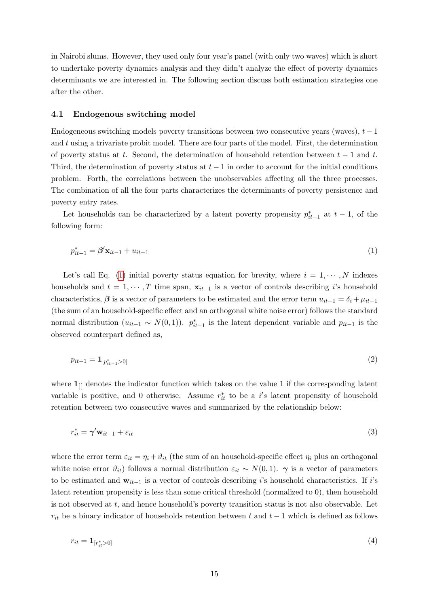in Nairobi slums. However, they used only four year's panel (with only two waves) which is short to undertake poverty dynamics analysis and they didn't analyze the effect of poverty dynamics determinants we are interested in. The following section discuss both estimation strategies one after the other.

#### <span id="page-15-0"></span>4.1 Endogenous switching model

Endogeneous switching models poverty transitions between two consecutive years (waves),  $t - 1$ and  $t$  using a trivariate probit model. There are four parts of the model. First, the determination of poverty status at t. Second, the determination of household retention between  $t - 1$  and t. Third, the determination of poverty status at  $t-1$  in order to account for the initial conditions problem. Forth, the correlations between the unobservables affecting all the three processes. The combination of all the four parts characterizes the determinants of poverty persistence and poverty entry rates.

<span id="page-15-1"></span>Let households can be characterized by a latent poverty propensity  $p_{it-1}^*$  at  $t-1$ , of the following form:

$$
p_{it-1}^* = \beta' \mathbf{x}_{it-1} + u_{it-1} \tag{1}
$$

Let's call Eq. [\(1\)](#page-15-1) initial poverty status equation for brevity, where  $i = 1, \dots, N$  indexes households and  $t = 1, \dots, T$  time span,  $\mathbf{x}_{it-1}$  is a vector of controls describing i's household characteristics,  $\beta$  is a vector of parameters to be estimated and the error term  $u_{it-1} = \delta_i + \mu_{it-1}$ (the sum of an household-specific effect and an orthogonal white noise error) follows the standard normal distribution  $(u_{it-1} \sim N(0, 1))$ .  $p_{it-1}^*$  is the latent dependent variable and  $p_{it-1}$  is the observed counterpart defined as,

<span id="page-15-3"></span>
$$
p_{it-1} = \mathbf{1}_{[p_{it-1}^* > 0]} \tag{2}
$$

where  $\mathbf{1}_{\lbrack i\lbrack}$  denotes the indicator function which takes on the value 1 if the corresponding latent variable is positive, and 0 otherwise. Assume  $r_{it}^*$  to be a  $i's$  latent propensity of household retention between two consecutive waves and summarized by the relationship below:

<span id="page-15-2"></span>
$$
r_{it}^* = \gamma' \mathbf{w}_{it-1} + \varepsilon_{it} \tag{3}
$$

where the error term  $\varepsilon_{it} = \eta_i + \vartheta_{it}$  (the sum of an household-specific effect  $\eta_i$  plus an orthogonal white noise error  $\vartheta_{it}$ ) follows a normal distribution  $\varepsilon_{it} \sim N(0, 1)$ .  $\gamma$  is a vector of parameters to be estimated and  $w_{it-1}$  is a vector of controls describing i's household characteristics. If i's latent retention propensity is less than some critical threshold (normalized to 0), then household is not observed at t, and hence household's poverty transition status is not also observable. Let  $r_{it}$  be a binary indicator of households retention between t and  $t - 1$  which is defined as follows

<span id="page-15-4"></span>
$$
r_{it} = \mathbf{1}_{[r_{it}^* > 0]} \tag{4}
$$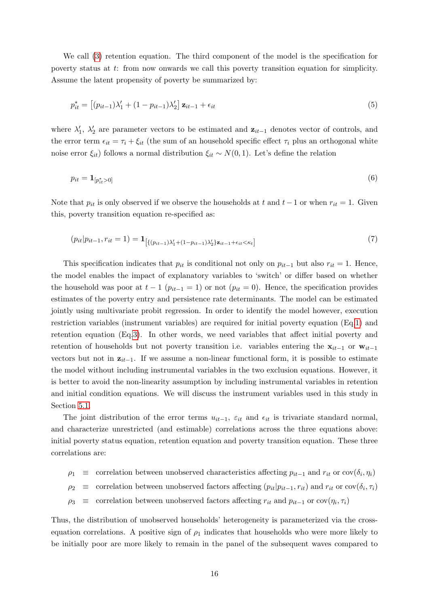We call [\(3\)](#page-15-2) retention equation. The third component of the model is the specification for poverty status at t: from now onwards we call this poverty transition equation for simplicity. Assume the latent propensity of poverty be summarized by:

<span id="page-16-0"></span>
$$
p_{it}^{*} = [(p_{it-1})\lambda'_{1} + (1 - p_{it-1})\lambda'_{2}] \mathbf{z}_{it-1} + \epsilon_{it}
$$
\n(5)

where  $\lambda'_1$ ,  $\lambda'_2$  are parameter vectors to be estimated and  $z_{it-1}$  denotes vector of controls, and the error term  $\epsilon_{it} = \tau_i + \xi_{it}$  (the sum of an household specific effect  $\tau_i$  plus an orthogonal white noise error  $\xi_{it}$ ) follows a normal distribution  $\xi_{it} \sim N(0, 1)$ . Let's define the relation

$$
p_{it} = \mathbf{1}_{[p_{it}^* > 0]} \tag{6}
$$

<span id="page-16-1"></span>Note that  $p_{it}$  is only observed if we observe the households at t and t – 1 or when  $r_{it} = 1$ . Given this, poverty transition equation re-specified as:

$$
(p_{it}|p_{it-1}, r_{it} = 1) = \mathbf{1}_{\left[ \left\{ (p_{it-1}) \lambda'_1 + (1 - p_{it-1}) \lambda'_2 \right\} \mathbf{z}_{it-1} + \epsilon_{it} < \kappa_t \right]}\tag{7}
$$

This specification indicates that  $p_{it}$  is conditional not only on  $p_{it-1}$  but also  $r_{it} = 1$ . Hence, the model enables the impact of explanatory variables to 'switch' or differ based on whether the household was poor at  $t-1$   $(p_{it-1}=1)$  or not  $(p_{it}=0)$ . Hence, the specification provides estimates of the poverty entry and persistence rate determinants. The model can be estimated jointly using multivariate probit regression. In order to identify the model however, execution restriction variables (instrument variables) are required for initial poverty equation (Eq[.1\)](#page-15-1) and retention equation (Eq[.3\)](#page-15-2). In other words, we need variables that affect initial poverty and retention of households but not poverty transition i.e. variables entering the  $x_{it-1}$  or  $w_{it-1}$ vectors but not in  $z_{it-1}$ . If we assume a non-linear functional form, it is possible to estimate the model without including instrumental variables in the two exclusion equations. However, it is better to avoid the non-linearity assumption by including instrumental variables in retention and initial condition equations. We will discuss the instrument variables used in this study in Section [5.1.](#page-20-1)

The joint distribution of the error terms  $u_{it-1}$ ,  $\varepsilon_{it}$  and  $\varepsilon_{it}$  is trivariate standard normal, and characterize unrestricted (and estimable) correlations across the three equations above: initial poverty status equation, retention equation and poverty transition equation. These three correlations are:

- $\rho_1 \equiv$  correlation between unobserved characteristics affecting  $p_{it-1}$  and  $r_{it}$  or cov $(\delta_i, \eta_i)$
- $\rho_2 \equiv$  correlation between unobserved factors affecting  $(p_{it}|p_{it-1}, r_{it})$  and  $r_{it}$  or  $cov(\delta_i, \tau_i)$
- $\rho_3$  ≡ correlation between unobserved factors affecting  $r_{it}$  and  $p_{it-1}$  or  $cov(\eta_i, \tau_i)$

Thus, the distribution of unobserved households' heterogeneity is parameterized via the crossequation correlations. A positive sign of  $\rho_1$  indicates that households who were more likely to be initially poor are more likely to remain in the panel of the subsequent waves compared to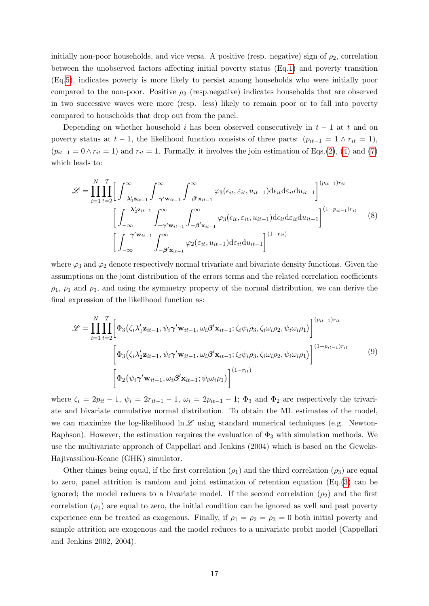initially non-poor households, and vice versa. A positive (resp. negative) sign of  $\rho_2$ , correlation between the unobserved factors affecting initial poverty status (Eq[.1\)](#page-15-1) and poverty transition (Eq[.5\)](#page-16-0), indicates poverty is more likely to persist among households who were initially poor compared to the non-poor. Positive  $\rho_3$  (resp.negative) indicates households that are observed in two successive waves were more (resp. less) likely to remain poor or to fall into poverty compared to households that drop out from the panel.

Depending on whether household i has been observed consecutively in  $t-1$  at t and on poverty status at  $t-1$ , the likelihood function consists of three parts:  $(p_{it-1} = 1 \land r_{it} = 1)$ ,  $(p_{it-1} = 0 \land r_{it} = 1)$  and  $r_{it} = 1$ . Formally, it involves the join estimation of Eqs.[\(2\)](#page-15-3), [\(4\)](#page-15-4) and [\(7\)](#page-16-1) which leads to:

$$
\mathcal{L} = \prod_{i=1}^{N} \prod_{t=2}^{T} \Bigg[ \int_{-\lambda_1' \mathbf{z}_{it-1}}^{\infty} \int_{-\gamma' \mathbf{w}_{it-1}}^{\infty} \int_{-\beta' \mathbf{x}_{it-1}}^{\infty} \varphi_3(\epsilon_{it}, \varepsilon_{it}, u_{it-1}) d\epsilon_{it} d\varepsilon_{it} du_{it-1} \Bigg]^{(p_{it-1})r_{it}} \Bigg]
$$

$$
\Bigg[ \int_{-\infty}^{-\lambda_2' \mathbf{z}_{it-1}} \int_{-\gamma' \mathbf{w}_{it-1}}^{\infty} \int_{-\beta' \mathbf{x}_{it-1}}^{\infty} \varphi_3(\epsilon_{it}, \varepsilon_{it}, u_{it-1}) d\epsilon_{it} d\varepsilon_{it} du_{it-1} \Bigg]^{(1-p_{it-1})r_{it}} \Bigg[ \int_{-\infty}^{-\gamma' \mathbf{w}_{it-1}} \int_{-\beta' \mathbf{x}_{it-1}}^{\infty} \varphi_2(\varepsilon_{it}, u_{it-1}) d\varepsilon_{it} du_{it-1} \Bigg]^{(1-r_{it})} \Bigg]
$$
(8)

where  $\varphi_3$  and  $\varphi_2$  denote respectively normal trivariate and bivariate density functions. Given the assumptions on the joint distribution of the errors terms and the related correlation coefficients  $\rho_1$ ,  $\rho_1$  and  $\rho_3$ , and using the symmetry property of the normal distribution, we can derive the final expression of the likelihood function as:

$$
\mathcal{L} = \prod_{i=1}^{N} \prod_{t=2}^{T} \left[ \Phi_3(\zeta_i \lambda_1' \mathbf{z}_{it-1}, \psi_i \boldsymbol{\gamma}' \mathbf{w}_{it-1}, \omega_i \boldsymbol{\beta}' \mathbf{x}_{it-1}; \zeta_i \psi_i \rho_3, \zeta_i \omega_i \rho_2, \psi_i \omega_i \rho_1) \right]^{(p_{it-1})r_{it}} \n\left[ \Phi_3(\zeta_i \lambda_2' \mathbf{z}_{it-1}, \psi_i \boldsymbol{\gamma}' \mathbf{w}_{it-1}, \omega_i \boldsymbol{\beta}' \mathbf{x}_{it-1}; \zeta_i \psi_i \rho_3, \zeta_i \omega_i \rho_2, \psi_i \omega_i \rho_1) \right]^{(1-p_{it-1})r_{it}} \n\left[ \Phi_2(\psi_i \boldsymbol{\gamma}' \mathbf{w}_{it-1}, \omega_i \boldsymbol{\beta}' \mathbf{x}_{it-1}; \psi_i \omega_i \rho_1) \right]^{(1-r_{it})}
$$
\n(9)

where  $\zeta_i = 2p_{it} - 1$ ,  $\psi_i = 2r_{it-1} - 1$ ,  $\omega_i = 2p_{it-1} - 1$ ;  $\Phi_3$  and  $\Phi_2$  are respectively the trivariate and bivariate cumulative normal distribution. To obtain the ML estimates of the model, we can maximize the log-likelihood  $\ln \mathscr{L}$  using standard numerical techniques (e.g. Newton-Raphson). However, the estimation requires the evaluation of  $\Phi_3$  with simulation methods. We use the multivariate approach of Cappellari and Jenkins (2004) which is based on the Geweke-Hajivassiliou-Keane (GHK) simulator.

Other things being equal, if the first correlation  $(\rho_1)$  and the third correlation  $(\rho_3)$  are equal to zero, panel attrition is random and joint estimation of retention equation (Eq.[\(3\)](#page-15-2) can be ignored; the model reduces to a bivariate model. If the second correlation  $(\rho_2)$  and the first correlation  $(\rho_1)$  are equal to zero, the initial condition can be ignored as well and past poverty experience can be treated as exogenous. Finally, if  $\rho_1 = \rho_2 = \rho_3 = 0$  both initial poverty and sample attrition are exogenous and the model reduces to a univariate probit model (Cappellari and Jenkins 2002, 2004).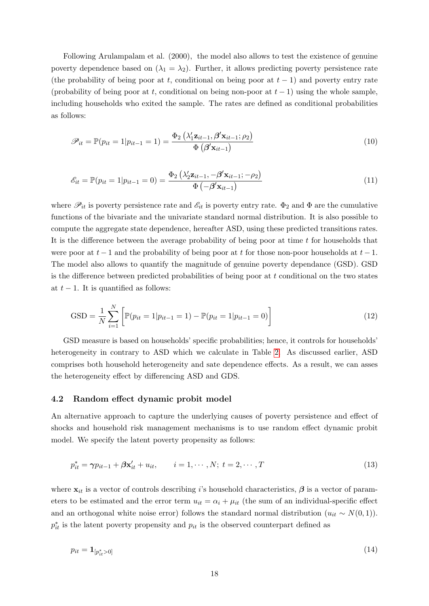Following Arulampalam et al. (2000), the model also allows to test the existence of genuine poverty dependence based on  $(\lambda_1 = \lambda_2)$ . Further, it allows predicting poverty persistence rate (the probability of being poor at t, conditional on being poor at  $t-1$ ) and poverty entry rate (probability of being poor at t, conditional on being non-poor at  $t-1$ ) using the whole sample, including households who exited the sample. The rates are defined as conditional probabilities as follows:

<span id="page-18-0"></span>
$$
\mathscr{P}_{it} = \mathbb{P}(p_{it} = 1 | p_{it-1} = 1) = \frac{\Phi_2\left(\lambda'_1 \mathbf{z}_{it-1}, \boldsymbol{\beta}' \mathbf{x}_{it-1}; \rho_2\right)}{\Phi\left(\boldsymbol{\beta}' \mathbf{x}_{it-1}\right)}
$$
(10)

<span id="page-18-1"></span>
$$
\mathcal{E}_{it} = \mathbb{P}(p_{it} = 1 | p_{it-1} = 0) = \frac{\Phi_2(\lambda'_2 \mathbf{z}_{it-1}, -\beta' \mathbf{x}_{it-1}; -\rho_2)}{\Phi(-\beta' \mathbf{x}_{it-1})}
$$
(11)

where  $\mathscr{P}_{it}$  is poverty persistence rate and  $\mathscr{E}_{it}$  is poverty entry rate.  $\Phi_2$  and  $\Phi$  are the cumulative functions of the bivariate and the univariate standard normal distribution. It is also possible to compute the aggregate state dependence, hereafter ASD, using these predicted transitions rates. It is the difference between the average probability of being poor at time  $t$  for households that were poor at  $t-1$  and the probability of being poor at t for those non-poor households at  $t-1$ . The model also allows to quantify the magnitude of genuine poverty dependance (GSD). GSD is the difference between predicted probabilities of being poor at  $t$  conditional on the two states at  $t-1$ . It is quantified as follows:

$$
GSD = \frac{1}{N} \sum_{i=1}^{N} \left[ \mathbb{P}(p_{it} = 1 | p_{it-1} = 1) - \mathbb{P}(p_{it} = 1 | p_{it-1} = 0) \right]
$$
(12)

GSD measure is based on households' specific probabilities; hence, it controls for households' heterogeneity in contrary to ASD which we calculate in Table [2.](#page-9-0) As discussed earlier, ASD comprises both household heterogeneity and sate dependence effects. As a result, we can asses the heterogeneity effect by differencing ASD and GDS.

#### <span id="page-18-2"></span>4.2 Random effect dynamic probit model

An alternative approach to capture the underlying causes of poverty persistence and effect of shocks and household risk management mechanisms is to use random effect dynamic probit model. We specify the latent poverty propensity as follows:

$$
p_{it}^* = \gamma p_{it-1} + \beta \mathbf{x}_{it}^{\prime} + u_{it}, \qquad i = 1, \cdots, N; \ t = 2, \cdots, T
$$
\n(13)

where  $x_{it}$  is a vector of controls describing i's household characteristics,  $\beta$  is a vector of parameters to be estimated and the error term  $u_{it} = \alpha_i + \mu_{it}$  (the sum of an individual-specific effect and an orthogonal white noise error) follows the standard normal distribution  $(u_{it} \sim N(0, 1)).$  $p_{it}^*$  is the latent poverty propensity and  $p_{it}$  is the observed counterpart defined as

$$
p_{it} = \mathbf{1}_{[p_{it}^* > 0]} \tag{14}
$$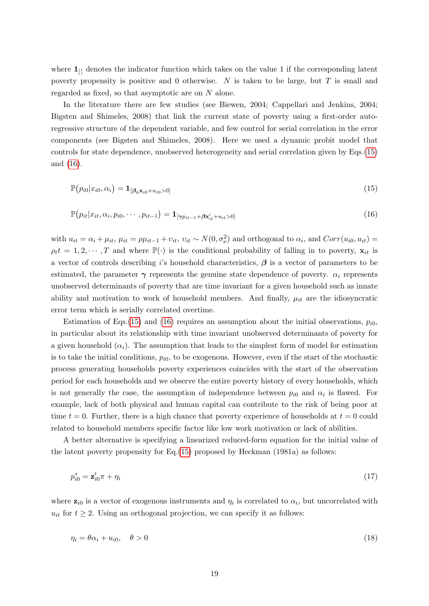where  $\mathbf{1}_{\lbrack i\lbrack}$  denotes the indicator function which takes on the value 1 if the corresponding latent poverty propensity is positive and 0 otherwise. N is taken to be large, but  $T$  is small and regarded as fixed, so that asymptotic are on N alone.

In the literature there are few studies (see Biewen, 2004; Cappellari and Jenkins, 2004; Bigsten and Shimeles, 2008) that link the current state of poverty using a first-order autoregressive structure of the dependent variable, and few control for serial correlation in the error components (see Bigsten and Shimeles, 2008). Here we used a dynamic probit model that controls for state dependence, unobserved heterogeneity and serial correlation given by Eqs.[\(15\)](#page-19-0) and [\(16\)](#page-19-1).

<span id="page-19-1"></span><span id="page-19-0"></span>
$$
\mathbb{P}(p_{i0}|x_{i0},\alpha_i) = \mathbf{1}_{[\beta_0 \mathbf{x}_{i0} + u_{i0} > 0]} \tag{15}
$$

$$
\mathbb{P}(p_{it}|x_{it}, \alpha_i, p_{i0}, \cdots, p_{it-1}) = \mathbf{1}_{[\gamma p_{it-1} + \beta \mathbf{x}'_{it} + u_{it} > 0]}
$$
\n(16)

with  $u_{it} = \alpha_i + \mu_{it}$ ,  $\mu_{it} = \rho \mu_{it-1} + v_{it}$ ,  $v_{it} \sim N(0, \sigma_{\nu}^2)$  and orthogonal to  $\alpha_i$ , and  $Corr(u_{i0}, u_{it}) =$  $\rho_t t = 1, 2, \dots, T$  and where  $\mathbb{P}(\cdot)$  is the conditional probability of falling in to poverty,  $\mathbf{x}_{it}$  is a vector of controls describing i's household characteristics,  $\beta$  is a vector of parameters to be estimated, the parameter  $\gamma$  represents the genuine state dependence of poverty.  $\alpha_i$  represents unobserved determinants of poverty that are time invariant for a given household such as innate ability and motivation to work of household members. And finally,  $\mu_{it}$  are the idiosyncratic error term which is serially correlated overtime.

Estimation of Eqs.[\(15\)](#page-19-0) and [\(16\)](#page-19-1) requires an assumption about the initial observations,  $p_{i0}$ , in particular about its relationship with time invariant unobserved determinants of poverty for a given household  $(\alpha_i)$ . The assumption that leads to the simplest form of model for estimation is to take the initial conditions,  $p_{i0}$ , to be exogenous. However, even if the start of the stochastic process generating households poverty experiences coincides with the start of the observation period for each households and we observe the entire poverty history of every households, which is not generally the case, the assumption of independence between  $p_{i0}$  and  $\alpha_i$  is flawed. For example, lack of both physical and human capital can contribute to the risk of being poor at time  $t = 0$ . Further, there is a high chance that poverty experience of households at  $t = 0$  could related to household members specific factor like low work motivation or lack of abilities.

A better alternative is specifying a linearized reduced-form equation for the initial value of the latent poverty propensity for Eq.[\(15\)](#page-19-0) proposed by Heckman (1981a) as follows:

$$
p_{i0}^* = \mathbf{z}_{i0}'\pi + \eta_i \tag{17}
$$

where  $z_{i0}$  is a vector of exogenous instruments and  $\eta_i$  is correlated to  $\alpha_i$ , but uncorrelated with  $u_{it}$  for  $t \geq 2$ . Using an orthogonal projection, we can specify it as follows:

$$
\eta_i = \theta \alpha_i + u_{i0}, \quad \theta > 0 \tag{18}
$$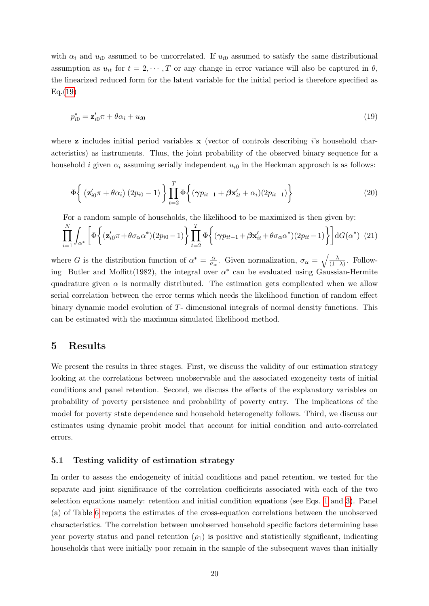with  $\alpha_i$  and  $u_{i0}$  assumed to be uncorrelated. If  $u_{i0}$  assumed to satisfy the same distributional assumption as  $u_{it}$  for  $t = 2, \dots, T$  or any change in error variance will also be captured in  $\theta$ , the linearized reduced form for the latent variable for the initial period is therefore specified as Eq.[\(19\)](#page-20-2)

<span id="page-20-2"></span>
$$
p_{i0}^* = \mathbf{z}_{i0}'\pi + \theta\alpha_i + u_{i0}
$$
\n
$$
(19)
$$

where  $\bf{z}$  includes initial period variables  $\bf{x}$  (vector of controls describing is household characteristics) as instruments. Thus, the joint probability of the observed binary sequence for a household *i* given  $\alpha_i$  assuming serially independent  $u_{i0}$  in the Heckman approach is as follows:

$$
\Phi\left\{ \left( \mathbf{z}_{i0}^{\prime}\pi+\theta\alpha_{i} \right) (2p_{i0}-1) \right\} \prod_{t=2}^{T} \Phi\left\{ (\gamma p_{it-1}+\beta\mathbf{x}_{it}^{\prime}+\alpha_{i}) (2p_{it-1}) \right\} \tag{20}
$$

For a random sample of households, the likelihood to be maximized is then given by:

$$
\prod_{i=1}^{N} \int_{\alpha^*} \left[ \Phi \left\{ (\mathbf{z}_{i0}' \pi + \theta \sigma_\alpha \alpha^*) (2p_{i0} - 1) \right\} \prod_{t=2}^{T} \Phi \left\{ (\gamma p_{it-1} + \beta \mathbf{x}_{it}' + \theta \sigma_\alpha \alpha^*) (2p_{it} - 1) \right\} \right] dG(\alpha^*) \tag{21}
$$

where G is the distribution function of  $\alpha^* = \frac{\alpha}{\sigma}$  $\frac{\alpha}{\sigma_{\alpha}}$ . Given normalization,  $\sigma_{\alpha} = \sqrt{\frac{\lambda}{(1-\lambda)}}$ . Following Butler and Moffitt(1982), the integral over  $\alpha^*$  can be evaluated using Gaussian-Hermite quadrature given  $\alpha$  is normally distributed. The estimation gets complicated when we allow serial correlation between the error terms which needs the likelihood function of random effect binary dynamic model evolution of T- dimensional integrals of normal density functions. This can be estimated with the maximum simulated likelihood method.

## <span id="page-20-0"></span>5 Results

We present the results in three stages. First, we discuss the validity of our estimation strategy looking at the correlations between unobservable and the associated exogeneity tests of initial conditions and panel retention. Second, we discuss the effects of the explanatory variables on probability of poverty persistence and probability of poverty entry. The implications of the model for poverty state dependence and household heterogeneity follows. Third, we discuss our estimates using dynamic probit model that account for initial condition and auto-correlated errors.

#### <span id="page-20-1"></span>5.1 Testing validity of estimation strategy

In order to assess the endogeneity of initial conditions and panel retention, we tested for the separate and joint significance of the correlation coefficients associated with each of the two selection equations namely: retention and initial condition equations (see Eqs. [1](#page-15-1) and [3\)](#page-15-2). Panel (a) of Table [6](#page-22-0) reports the estimates of the cross-equation correlations between the unobserved characteristics. The correlation between unobserved household specific factors determining base year poverty status and panel retention  $(\rho_1)$  is positive and statistically significant, indicating households that were initially poor remain in the sample of the subsequent waves than initially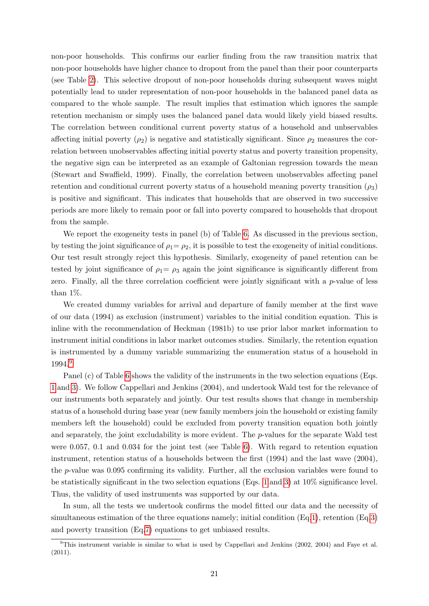non-poor households. This confirms our earlier finding from the raw transition matrix that non-poor households have higher chance to dropout from the panel than their poor counterparts (see Table [2\)](#page-9-0). This selective dropout of non-poor households during subsequent waves might potentially lead to under representation of non-poor households in the balanced panel data as compared to the whole sample. The result implies that estimation which ignores the sample retention mechanism or simply uses the balanced panel data would likely yield biased results. The correlation between conditional current poverty status of a household and unbservables affecting initial poverty  $(\rho_2)$  is negative and statistically significant. Since  $\rho_2$  measures the correlation between unobservables affecting initial poverty status and poverty transition propensity, the negative sign can be interpreted as an example of Galtonian regression towards the mean (Stewart and Swaffield, 1999). Finally, the correlation between unobservables affecting panel retention and conditional current poverty status of a household meaning poverty transition  $(\rho_3)$ is positive and significant. This indicates that households that are observed in two successive periods are more likely to remain poor or fall into poverty compared to households that dropout from the sample.

We report the exogeneity tests in panel (b) of Table [6.](#page-22-0) As discussed in the previous section, by testing the joint significance of  $\rho_1 = \rho_2$ , it is possible to test the exogeneity of initial conditions. Our test result strongly reject this hypothesis. Similarly, exogeneity of panel retention can be tested by joint significance of  $\rho_1 = \rho_3$  again the joint significance is significantly different from zero. Finally, all the three correlation coefficient were jointly significant with a  $p$ -value of less than 1%.

We created dummy variables for arrival and departure of family member at the first wave of our data (1994) as exclusion (instrument) variables to the initial condition equation. This is inline with the recommendation of Heckman (1981b) to use prior labor market information to instrument initial conditions in labor market outcomes studies. Similarly, the retention equation is instrumented by a dummy variable summarizing the enumeration status of a household in 1994.[9](#page-0-0)

Panel (c) of Table [6](#page-22-0) shows the validity of the instruments in the two selection equations (Eqs. [1](#page-15-1) and [3\)](#page-15-2). We follow Cappellari and Jenkins (2004), and undertook Wald test for the relevance of our instruments both separately and jointly. Our test results shows that change in membership status of a household during base year (new family members join the household or existing family members left the household) could be excluded from poverty transition equation both jointly and separately, the joint excludability is more evident. The p-values for the separate Wald test were 0.057, 0.1 and 0.034 for the joint test (see Table [6\)](#page-22-0). With regard to retention equation instrument, retention status of a households between the first (1994) and the last wave (2004), the p-value was 0.095 confirming its validity. Further, all the exclusion variables were found to be statistically significant in the two selection equations (Eqs. [1](#page-15-1) and [3\)](#page-15-2) at 10% significance level. Thus, the validity of used instruments was supported by our data.

In sum, all the tests we undertook confirms the model fitted our data and the necessity of simultaneous estimation of the three equations namely; initial condition (Eq[.1\)](#page-15-1), retention (Eq[.3\)](#page-15-2) and poverty transition (Eq[.7\)](#page-16-1) equations to get unbiased results.

<sup>&</sup>lt;sup>9</sup>This instrument variable is similar to what is used by Cappellari and Jenkins (2002, 2004) and Faye et al. (2011).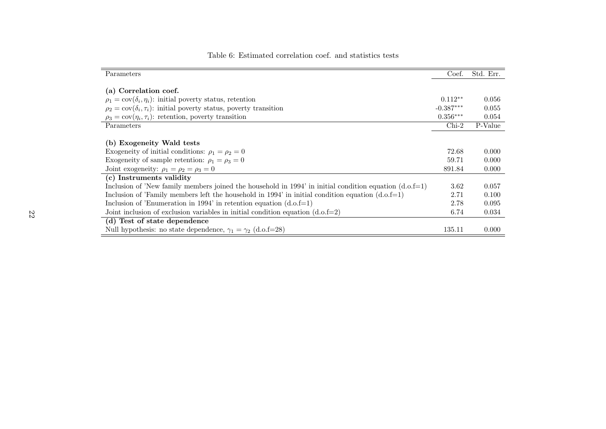| Parameters                                                                                               | Coef.       | Std. Err. |
|----------------------------------------------------------------------------------------------------------|-------------|-----------|
| (a) Correlation coef.                                                                                    |             |           |
| $\rho_1 = \text{cov}(\delta_i, \eta_i)$ : initial poverty status, retention                              | $0.112**$   | 0.056     |
| $\rho_2 = \text{cov}(\delta_i, \tau_i)$ : initial poverty status, poverty transition                     | $-0.387***$ | 0.055     |
| $\rho_3 = \text{cov}(\eta_i, \tau_i)$ : retention, poverty transition                                    | $0.356***$  | 0.054     |
| Parameters                                                                                               | $Chi-2$     | P-Value   |
| (b) Exogeneity Wald tests                                                                                |             |           |
| Exogeneity of initial conditions: $\rho_1 = \rho_2 = 0$                                                  | 72.68       | 0.000     |
| Exogeneity of sample retention: $\rho_1 = \rho_3 = 0$                                                    | 59.71       | 0.000     |
| Joint exogeneity: $\rho_1 = \rho_2 = \rho_3 = 0$                                                         | 891.84      | 0.000     |
| (c) Instruments validity                                                                                 |             |           |
| Inclusion of 'New family members joined the household in 1994' in initial condition equation $(d.o.f=1)$ | 3.62        | 0.057     |
| Inclusion of 'Family members left the household in 1994' in initial condition equation $(d.o.f=1)$       | 2.71        | 0.100     |
| Inclusion of 'Enumeration in 1994' in retention equation $(d.o.f=1)$                                     | 2.78        | 0.095     |
| Joint inclusion of exclusion variables in initial condition equation $(d.o.f=2)$                         | 6.74        | 0.034     |
| $\overline{(d)}$ Test of state dependence                                                                |             |           |
| Null hypothesis: no state dependence, $\gamma_1 = \gamma_2$ (d.o.f=28)                                   | 135.11      | 0.000     |

## <span id="page-22-0"></span>Table 6: Estimated correlation coef. and statistics tests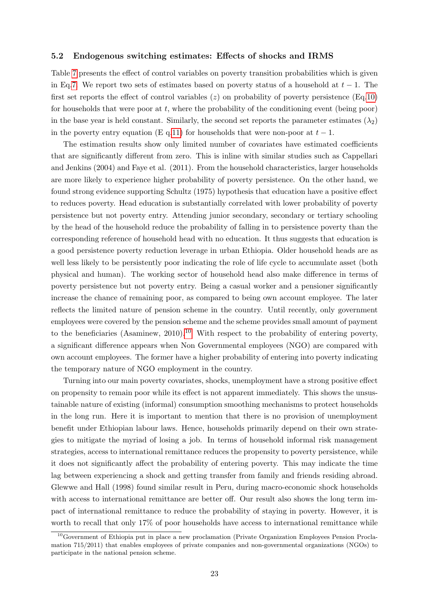#### 5.2 Endogenous switching estimates: Effects of shocks and IRMS

Table [7](#page-24-0) presents the effect of control variables on poverty transition probabilities which is given in Eq[.7.](#page-16-1) We report two sets of estimates based on poverty status of a household at  $t-1$ . The first set reports the effect of control variables  $(z)$  on probability of poverty persistence (Eq[.10\)](#page-18-0) for households that were poor at  $t$ , where the probability of the conditioning event (being poor) in the base year is held constant. Similarly, the second set reports the parameter estimates  $(\lambda_2)$ in the poverty entry equation (E q[.11\)](#page-18-1) for households that were non-poor at  $t-1$ .

The estimation results show only limited number of covariates have estimated coefficients that are significantly different from zero. This is inline with similar studies such as Cappellari and Jenkins (2004) and Faye et al. (2011). From the household characteristics, larger households are more likely to experience higher probability of poverty persistence. On the other hand, we found strong evidence supporting Schultz (1975) hypothesis that education have a positive effect to reduces poverty. Head education is substantially correlated with lower probability of poverty persistence but not poverty entry. Attending junior secondary, secondary or tertiary schooling by the head of the household reduce the probability of falling in to persistence poverty than the corresponding reference of household head with no education. It thus suggests that education is a good persistence poverty reduction leverage in urban Ethiopia. Older household heads are as well less likely to be persistently poor indicating the role of life cycle to accumulate asset (both physical and human). The working sector of household head also make difference in terms of poverty persistence but not poverty entry. Being a casual worker and a pensioner significantly increase the chance of remaining poor, as compared to being own account employee. The later reflects the limited nature of pension scheme in the country. Until recently, only government employees were covered by the pension scheme and the scheme provides small amount of payment to the beneficiaries (Asaminew, 20[10](#page-0-0)).<sup>10</sup> With respect to the probability of entering poverty, a significant difference appears when Non Governmental employees (NGO) are compared with own account employees. The former have a higher probability of entering into poverty indicating the temporary nature of NGO employment in the country.

Turning into our main poverty covariates, shocks, unemployment have a strong positive effect on propensity to remain poor while its effect is not apparent immediately. This shows the unsustainable nature of existing (informal) consumption smoothing mechanisms to protect households in the long run. Here it is important to mention that there is no provision of unemployment benefit under Ethiopian labour laws. Hence, households primarily depend on their own strategies to mitigate the myriad of losing a job. In terms of household informal risk management strategies, access to international remittance reduces the propensity to poverty persistence, while it does not significantly affect the probability of entering poverty. This may indicate the time lag between experiencing a shock and getting transfer from family and friends residing abroad. Glewwe and Hall (1998) found similar result in Peru, during macro-economic shock households with access to international remittance are better off. Our result also shows the long term impact of international remittance to reduce the probability of staying in poverty. However, it is worth to recall that only 17% of poor households have access to international remittance while

<sup>10</sup>Government of Ethiopia put in place a new proclamation (Private Organization Employees Pension Proclamation 715/2011) that enables employees of private companies and non-governmental organizations (NGOs) to participate in the national pension scheme.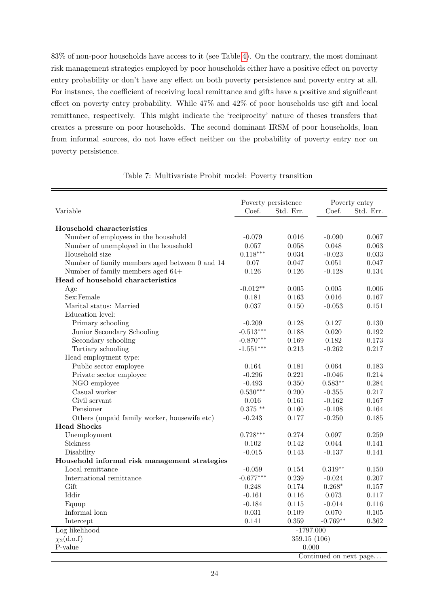83% of non-poor households have access to it (see Table [4\)](#page-12-1). On the contrary, the most dominant risk management strategies employed by poor households either have a positive effect on poverty entry probability or don't have any effect on both poverty persistence and poverty entry at all. For instance, the coefficient of receiving local remittance and gifts have a positive and significant effect on poverty entry probability. While 47% and 42% of poor households use gift and local remittance, respectively. This might indicate the 'reciprocity' nature of theses transfers that creates a pressure on poor households. The second dominant IRSM of poor households, loan from informal sources, do not have effect neither on the probability of poverty entry nor on poverty persistence.

<span id="page-24-0"></span>

|                                                |             | Poverty persistence |                        | Poverty entry |
|------------------------------------------------|-------------|---------------------|------------------------|---------------|
| Variable                                       | Coef.       | Std. Err.           | Coef.                  | Std. Err.     |
|                                                |             |                     |                        |               |
| Household characteristics                      |             |                     |                        |               |
| Number of employees in the household           | $-0.079$    | 0.016               | $-0.090$               | 0.067         |
| Number of unemployed in the household          | 0.057       | 0.058               | 0.048                  | 0.063         |
| Household size                                 | $0.118***$  | 0.034               | $-0.023$               | 0.033         |
| Number of family members aged between 0 and 14 | 0.07        | 0.047               | 0.051                  | 0.047         |
| Number of family members aged 64+              | 0.126       | 0.126               | $-0.128$               | 0.134         |
| Head of household characteristics              |             |                     |                        |               |
| Age                                            | $-0.012**$  | 0.005               | 0.005                  | 0.006         |
| Sex:Female                                     | 0.181       | 0.163               | 0.016                  | 0.167         |
| Marital status: Married                        | 0.037       | 0.150               | $-0.053$               | 0.151         |
| Education level:                               |             |                     |                        |               |
| Primary schooling                              | $-0.209$    | 0.128               | 0.127                  | 0.130         |
| Junior Secondary Schooling                     | $-0.513***$ | 0.188               | 0.020                  | 0.192         |
| Secondary schooling                            | $-0.870***$ | 0.169               | 0.182                  | 0.173         |
| Tertiary schooling                             | $-1.551***$ | 0.213               | $-0.262$               | 0.217         |
| Head employment type:                          |             |                     |                        |               |
| Public sector employee                         | 0.164       | 0.181               | 0.064                  | 0.183         |
| Private sector employee                        | $-0.296$    | 0.221               | $-0.046$               | 0.214         |
| NGO employee                                   | $-0.493$    | 0.350               | $0.583**$              | 0.284         |
| Casual worker                                  | $0.530***$  | 0.200               | $-0.355$               | 0.217         |
| Civil servant                                  | $0.016\,$   | 0.161               | $-0.162$               | 0.167         |
| Pensioner                                      | $0.375$ **  | $0.160\,$           | $-0.108$               | 0.164         |
| Others (unpaid family worker, housewife etc)   | $-0.243$    | 0.177               | $-0.250$               | 0.185         |
| <b>Head Shocks</b>                             |             |                     |                        |               |
| Unemployment                                   | $0.728***$  | 0.274               | 0.097                  | 0.259         |
| Sickness                                       | 0.102       | 0.142               | 0.044                  | 0.141         |
| Disability                                     | $-0.015$    | 0.143               | $-0.137$               | 0.141         |
| Household informal risk management strategies  |             |                     |                        |               |
| Local remittance                               | $-0.059$    | 0.154               | $0.319**$              | 0.150         |
| International remittance                       | $-0.677***$ | 0.239               | $-0.024$               | $0.207\,$     |
| Gift                                           | 0.248       | 0.174               | $0.268*$               | $0.157\,$     |
| Iddir                                          | $-0.161$    | 0.116               | 0.073                  | 0.117         |
| Equup                                          | $-0.184$    | 0.115               | $-0.014$               | 0.116         |
| Informal loan                                  | 0.031       | 0.109               | 0.070                  | 0.105         |
| Intercept                                      | 0.141       | 0.359               | $-0.769**$             | 0.362         |
| Log likelihood                                 |             | $-1797.000$         |                        |               |
| $\chi_2(d.o.f)$                                |             | 359.15 (106)        |                        |               |
| P-value                                        |             | 0.000               |                        |               |
|                                                |             |                     | Continued on next page |               |

Table 7: Multivariate Probit model: Poverty transition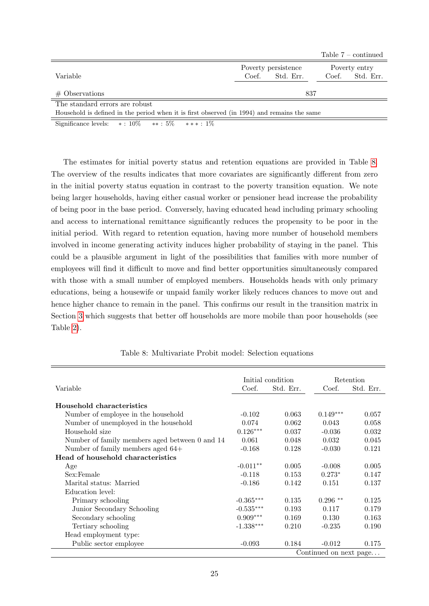|                                                                                             |                     | Table $7$ – continued |
|---------------------------------------------------------------------------------------------|---------------------|-----------------------|
|                                                                                             | Poverty persistence | Poverty entry         |
| Variable                                                                                    | Coef. Std. Err.     | Coef. Std. Err.       |
| $#$ Observations                                                                            | 837                 |                       |
| The standard errors are robust                                                              |                     |                       |
| Household is defined in the period when it is first observed (in 1994) and remains the same |                     |                       |

Significance levels:  $* : 10\%$   $* * : 5\%$   $* * * : 1\%$ 

The estimates for initial poverty status and retention equations are provided in Table [8.](#page-25-0) The overview of the results indicates that more covariates are significantly different from zero in the initial poverty status equation in contrast to the poverty transition equation. We note being larger households, having either casual worker or pensioner head increase the probability of being poor in the base period. Conversely, having educated head including primary schooling and access to international remittance significantly reduces the propensity to be poor in the initial period. With regard to retention equation, having more number of household members involved in income generating activity induces higher probability of staying in the panel. This could be a plausible argument in light of the possibilities that families with more number of employees will find it difficult to move and find better opportunities simultaneously compared with those with a small number of employed members. Households heads with only primary educations, being a housewife or unpaid family worker likely reduces chances to move out and hence higher chance to remain in the panel. This confirms our result in the transition matrix in Section [3](#page-6-0) which suggests that better off households are more mobile than poor households (see Table [2\)](#page-9-0).

<span id="page-25-0"></span>

|                                                |             | Initial condition |                        | Retention |
|------------------------------------------------|-------------|-------------------|------------------------|-----------|
| Variable                                       | Coef.       | Std. Err.         | Coef.                  | Std. Err. |
| Household characteristics                      |             |                   |                        |           |
| Number of employee in the household            | $-0.102$    | 0.063             | $0.149***$             | 0.057     |
| Number of unemployed in the household          | 0.074       | 0.062             | 0.043                  | 0.058     |
| Household size                                 | $0.126***$  | 0.037             | $-0.036$               | 0.032     |
| Number of family members aged between 0 and 14 | 0.061       | 0.048             | 0.032                  | 0.045     |
| Number of family members aged $64+$            | $-0.168$    | 0.128             | $-0.030$               | 0.121     |
| Head of household characteristics              |             |                   |                        |           |
| Age                                            | $-0.011**$  | 0.005             | $-0.008$               | 0.005     |
| Sex:Female                                     | $-0.118$    | 0.153             | $0.273*$               | 0.147     |
| Marital status: Married                        | $-0.186$    | 0.142             | 0.151                  | 0.137     |
| Education level:                               |             |                   |                        |           |
| Primary schooling                              | $-0.365***$ | 0.135             | $0.296$ **             | 0.125     |
| Junior Secondary Schooling                     | $-0.535***$ | 0.193             | 0.117                  | 0.179     |
| Secondary schooling                            | $0.909***$  | 0.169             | 0.130                  | 0.163     |
| Tertiary schooling                             | $-1.338***$ | 0.210             | $-0.235$               | 0.190     |
| Head employment type:                          |             |                   |                        |           |
| Public sector employee                         | $-0.093$    | 0.184             | $-0.012$               | 0.175     |
|                                                |             |                   | Continued on next page |           |

Table 8: Multivariate Probit model: Selection equations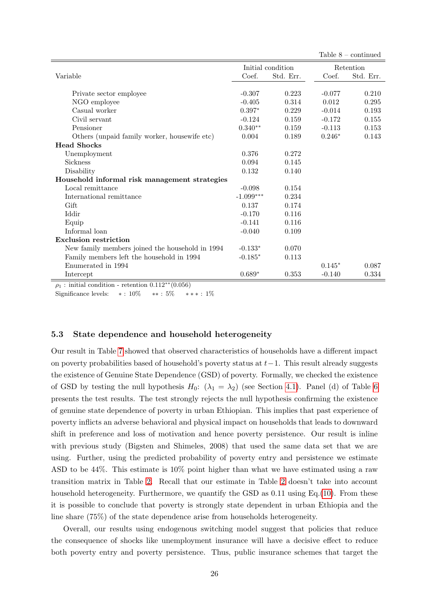|                                                 |             |                   |          | Table $8$ – continued |
|-------------------------------------------------|-------------|-------------------|----------|-----------------------|
|                                                 |             | Initial condition |          | Retention             |
| Variable                                        | Coef.       | Std. Err.         | Coef.    | Std. Err.             |
|                                                 |             |                   |          |                       |
| Private sector employee                         | $-0.307$    | 0.223             | $-0.077$ | 0.210                 |
| NGO employee                                    | $-0.405$    | 0.314             | 0.012    | 0.295                 |
| Casual worker                                   | $0.397*$    | 0.229             | $-0.014$ | 0.193                 |
| Civil servant                                   | $-0.124$    | 0.159             | $-0.172$ | 0.155                 |
| Pensioner                                       | $0.340**$   | 0.159             | $-0.113$ | 0.153                 |
| Others (unpaid family worker, housewife etc)    | 0.004       | 0.189             | $0.246*$ | 0.143                 |
| <b>Head Shocks</b>                              |             |                   |          |                       |
| Unemployment                                    | 0.376       | 0.272             |          |                       |
| <b>Sickness</b>                                 | 0.094       | 0.145             |          |                       |
| Disability                                      | 0.132       | 0.140             |          |                       |
| Household informal risk management strategies   |             |                   |          |                       |
| Local remittance                                | $-0.098$    | 0.154             |          |                       |
| International remittance                        | $-1.099***$ | 0.234             |          |                       |
| Gift                                            | 0.137       | 0.174             |          |                       |
| Iddir                                           | $-0.170$    | 0.116             |          |                       |
| Equip                                           | $-0.141$    | 0.116             |          |                       |
| Informal loan                                   | $-0.040$    | 0.109             |          |                       |
| <b>Exclusion restriction</b>                    |             |                   |          |                       |
| New family members joined the household in 1994 | $-0.133*$   | 0.070             |          |                       |
| Family members left the household in 1994       | $-0.185*$   | 0.113             |          |                       |
| Enumerated in 1994                              |             |                   | $0.145*$ | 0.087                 |
| Intercept                                       | $0.689*$    | 0.353             | $-0.140$ | 0.334                 |

 $\rho_1$ : initial condition - retention  $0.112^{**}(0.056)$ 

Significance levels:  $* : 10\%$   $** : 5\%$   $** * : 1\%$ 

### 5.3 State dependence and household heterogeneity

Our result in Table [7](#page-24-0) showed that observed characteristics of households have a different impact on poverty probabilities based of household's poverty status at  $t-1$ . This result already suggests the existence of Genuine State Dependence (GSD) of poverty. Formally, we checked the existence of GSD by testing the null hypothesis  $H_0$ :  $(\lambda_1 = \lambda_2)$  (see Section [4.1\)](#page-15-0). Panel (d) of Table [6](#page-22-0) presents the test results. The test strongly rejects the null hypothesis confirming the existence of genuine state dependence of poverty in urban Ethiopian. This implies that past experience of poverty inflicts an adverse behavioral and physical impact on households that leads to downward shift in preference and loss of motivation and hence poverty persistence. Our result is inline with previous study (Bigsten and Shimeles, 2008) that used the same data set that we are using. Further, using the predicted probability of poverty entry and persistence we estimate ASD to be 44%. This estimate is 10% point higher than what we have estimated using a raw transition matrix in Table [2.](#page-9-0) Recall that our estimate in Table [2](#page-9-0) doesn't take into account household heterogeneity. Furthermore, we quantify the GSD as 0.11 using Eq.[\(10\)](#page-18-0). From these it is possible to conclude that poverty is strongly state dependent in urban Ethiopia and the line share (75%) of the state dependence arise from households heterogeneity.

Overall, our results using endogenous switching model suggest that policies that reduce the consequence of shocks like unemployment insurance will have a decisive effect to reduce both poverty entry and poverty persistence. Thus, public insurance schemes that target the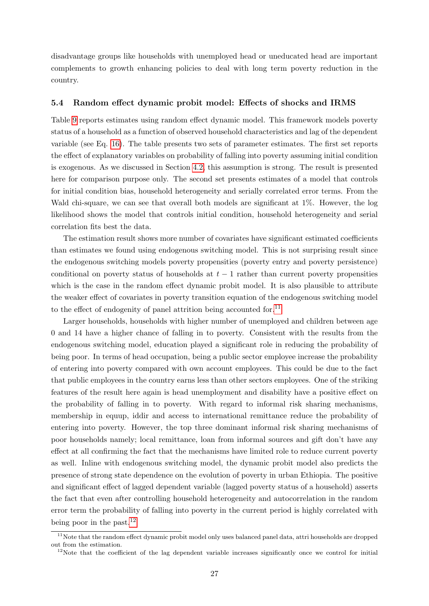disadvantage groups like households with unemployed head or uneducated head are important complements to growth enhancing policies to deal with long term poverty reduction in the country.

#### 5.4 Random effect dynamic probit model: Effects of shocks and IRMS

Table [9](#page-28-0) reports estimates using random effect dynamic model. This framework models poverty status of a household as a function of observed household characteristics and lag of the dependent variable (see Eq. [16\)](#page-19-1). The table presents two sets of parameter estimates. The first set reports the effect of explanatory variables on probability of falling into poverty assuming initial condition is exogenous. As we discussed in Section [4.2,](#page-18-2) this assumption is strong. The result is presented here for comparison purpose only. The second set presents estimates of a model that controls for initial condition bias, household heterogeneity and serially correlated error terms. From the Wald chi-square, we can see that overall both models are significant at 1%. However, the log likelihood shows the model that controls initial condition, household heterogeneity and serial correlation fits best the data.

The estimation result shows more number of covariates have significant estimated coefficients than estimates we found using endogenous switching model. This is not surprising result since the endogenous switching models poverty propensities (poverty entry and poverty persistence) conditional on poverty status of households at  $t-1$  rather than current poverty propensities which is the case in the random effect dynamic probit model. It is also plausible to attribute the weaker effect of covariates in poverty transition equation of the endogenous switching model to the effect of endogenity of panel attrition being accounted for.<sup>[11](#page-0-0)</sup>

Larger households, households with higher number of unemployed and children between age 0 and 14 have a higher chance of falling in to poverty. Consistent with the results from the endogenous switching model, education played a significant role in reducing the probability of being poor. In terms of head occupation, being a public sector employee increase the probability of entering into poverty compared with own account employees. This could be due to the fact that public employees in the country earns less than other sectors employees. One of the striking features of the result here again is head unemployment and disability have a positive effect on the probability of falling in to poverty. With regard to informal risk sharing mechanisms, membership in equup, iddir and access to international remittance reduce the probability of entering into poverty. However, the top three dominant informal risk sharing mechanisms of poor households namely; local remittance, loan from informal sources and gift don't have any effect at all confirming the fact that the mechanisms have limited role to reduce current poverty as well. Inline with endogenous switching model, the dynamic probit model also predicts the presence of strong state dependence on the evolution of poverty in urban Ethiopia. The positive and significant effect of lagged dependent variable (lagged poverty status of a household) asserts the fact that even after controlling household heterogeneity and autocorrelation in the random error term the probability of falling into poverty in the current period is highly correlated with being poor in the past.<sup>[12](#page-0-0)</sup>

<sup>&</sup>lt;sup>11</sup>Note that the random effect dynamic probit model only uses balanced panel data, attri households are dropped out from the estimation.

<sup>&</sup>lt;sup>12</sup>Note that the coefficient of the lag dependent variable increases significantly once we control for initial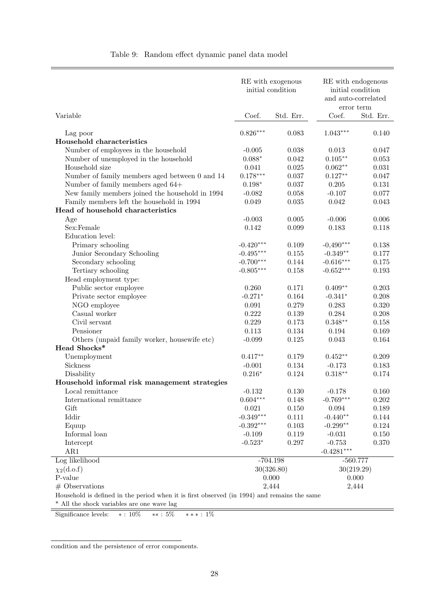<span id="page-28-0"></span>

|                                                                                             |                        | RE with exogenous<br>initial condition | RE with endogenous<br>initial condition<br>and auto-correlated<br>error term |                |
|---------------------------------------------------------------------------------------------|------------------------|----------------------------------------|------------------------------------------------------------------------------|----------------|
| Variable                                                                                    | Coef.                  | Std. Err.                              | Coef.                                                                        | Std. Err.      |
| Lag poor                                                                                    | $0.826***$             | 0.083                                  | $1.043***$                                                                   | 0.140          |
| Household characteristics                                                                   |                        |                                        |                                                                              |                |
| Number of employees in the household                                                        | $-0.005$               | 0.038                                  | 0.013                                                                        | 0.047          |
| Number of unemployed in the household                                                       | $0.088*$               | 0.042                                  | $0.105**$                                                                    | 0.053          |
| Household size                                                                              | 0.041                  | 0.025                                  | $0.062**$                                                                    | 0.031          |
| Number of family members aged between 0 and 14                                              | $0.178***$             | 0.037                                  | $0.127**$                                                                    | 0.047          |
| Number of family members aged 64+                                                           | $0.198^{\ast}$         | 0.037                                  | 0.205                                                                        | 0.131          |
| New family members joined the household in 1994                                             | $-0.082$               | 0.058                                  | $-0.107$                                                                     | 0.077          |
| Family members left the household in 1994                                                   | 0.049                  | $\,0.035\,$                            | 0.042                                                                        | 0.043          |
| Head of household characteristics                                                           |                        |                                        |                                                                              |                |
| Age                                                                                         | $-0.003$               | 0.005                                  | $-0.006$                                                                     | 0.006          |
| Sex:Female                                                                                  | 0.142                  | 0.099                                  | 0.183                                                                        | 0.118          |
| Education level:                                                                            |                        |                                        |                                                                              |                |
| Primary schooling                                                                           | $-0.420***$            | 0.109                                  | $-0,490***$                                                                  | 0.138          |
| Junior Secondary Schooling                                                                  | $-0.495***$            | 0.155                                  | $-0.349**$                                                                   | 0.177          |
| Secondary schooling                                                                         | $-0.700***$            | 0.144                                  | $-0.616***$                                                                  | 0.175          |
| Tertiary schooling                                                                          | $-0.805***$            | 0.158                                  | $-0.652***$                                                                  | 0.193          |
| Head employment type:                                                                       |                        |                                        |                                                                              |                |
| Public sector employee                                                                      | 0.260                  | 0.171                                  | $0.409**$                                                                    | 0.203          |
| Private sector employee                                                                     | $-0.271*$              | 0.164                                  | $-0.341*$                                                                    | 0.208          |
| NGO employee                                                                                | 0.091                  | 0.279                                  | 0.283                                                                        | 0.320          |
| Casual worker                                                                               | 0.222                  | 0.139                                  | 0.284                                                                        | 0.208          |
| Civil servant                                                                               | 0.229                  | 0.173                                  | $0.348**$                                                                    | 0.158          |
| Pensioner                                                                                   | 0.113                  | 0.134                                  | 0.194                                                                        | 0.169          |
| Others (unpaid family worker, housewife etc)                                                | $-0.099$               | 0.125                                  | 0.043                                                                        | 0.164          |
| Head Shocks*                                                                                |                        |                                        |                                                                              |                |
| Unemployment                                                                                | $0.417**$              | 0.179                                  | $0.452**$                                                                    | 0.209          |
| Sickness                                                                                    | $-0.001$               | 0.134                                  | $-0.173$                                                                     | 0.183          |
| Disability                                                                                  | $0.216*$               | 0.124                                  | $0.318**$                                                                    | 0.174          |
| Household informal risk management strategies                                               |                        |                                        |                                                                              |                |
| Local remittance                                                                            | $-0.132$<br>$0.604***$ | 0.130                                  | $-0.178$                                                                     | 0.160          |
| International remittance<br>Gift                                                            | 0.021                  | 0.148<br>0.150                         | $-0.769***$<br>$\,0.094\,$                                                   | 0.202<br>0.189 |
| Iddir                                                                                       | $-0.349***$            | 0.111                                  | $-0.440**$                                                                   | 0.144          |
| Equup                                                                                       | $-0.392***$            | 0.103                                  | $-0.299**$                                                                   | 0.124          |
| Informal loan                                                                               | $-0.109$               | 0.119                                  | $-0.031$                                                                     | 0.150          |
| Intercept                                                                                   | $-0.523*$              | 0.297                                  | $-0.753$                                                                     | 0.370          |
| AR1                                                                                         |                        |                                        | $-0.4281***$                                                                 |                |
| Log likelihood                                                                              |                        | $-704.198$                             | $-560.777$                                                                   |                |
| $\chi_2(d.o.f)$                                                                             |                        | 30(326.80)                             | 30(219.29)                                                                   |                |
| P-value                                                                                     |                        | 0.000                                  | 0.000                                                                        |                |
| $#$ Observations                                                                            |                        | 2,444                                  | 2,444                                                                        |                |
| Household is defined in the period when it is first observed (in 1994) and remains the same |                        |                                        |                                                                              |                |
| * All the shock variables are one wave lag                                                  |                        |                                        |                                                                              |                |
| $\ast$ : $10\%$<br>***: $1\%$<br>Significance levels:<br>$**: 5\%$                          |                        |                                        |                                                                              |                |

Table 9: Random effect dynamic panel data model

condition and the persistence of error components.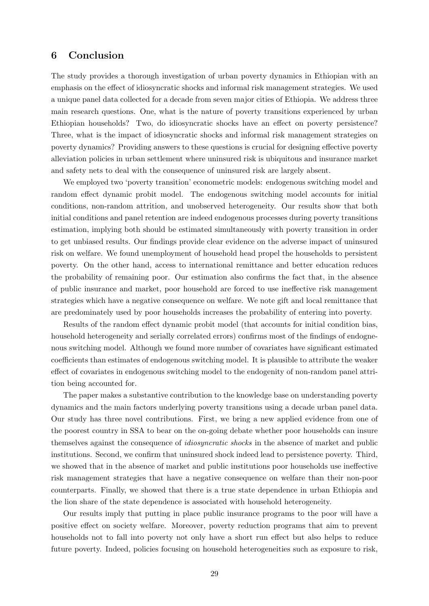## <span id="page-29-0"></span>6 Conclusion

The study provides a thorough investigation of urban poverty dynamics in Ethiopian with an emphasis on the effect of idiosyncratic shocks and informal risk management strategies. We used a unique panel data collected for a decade from seven major cities of Ethiopia. We address three main research questions. One, what is the nature of poverty transitions experienced by urban Ethiopian households? Two, do idiosyncratic shocks have an effect on poverty persistence? Three, what is the impact of idiosyncratic shocks and informal risk management strategies on poverty dynamics? Providing answers to these questions is crucial for designing effective poverty alleviation policies in urban settlement where uninsured risk is ubiquitous and insurance market and safety nets to deal with the consequence of uninsured risk are largely absent.

We employed two 'poverty transition' econometric models: endogenous switching model and random effect dynamic probit model. The endogenous switching model accounts for initial conditions, non-random attrition, and unobserved heterogeneity. Our results show that both initial conditions and panel retention are indeed endogenous processes during poverty transitions estimation, implying both should be estimated simultaneously with poverty transition in order to get unbiased results. Our findings provide clear evidence on the adverse impact of uninsured risk on welfare. We found unemployment of household head propel the households to persistent poverty. On the other hand, access to international remittance and better education reduces the probability of remaining poor. Our estimation also confirms the fact that, in the absence of public insurance and market, poor household are forced to use ineffective risk management strategies which have a negative consequence on welfare. We note gift and local remittance that are predominately used by poor households increases the probability of entering into poverty.

Results of the random effect dynamic probit model (that accounts for initial condition bias, household heterogeneity and serially correlated errors) confirms most of the findings of endognenous switching model. Although we found more number of covariates have significant estimated coefficients than estimates of endogenous switching model. It is plausible to attribute the weaker effect of covariates in endogenous switching model to the endogenity of non-random panel attrition being accounted for.

The paper makes a substantive contribution to the knowledge base on understanding poverty dynamics and the main factors underlying poverty transitions using a decade urban panel data. Our study has three novel contributions. First, we bring a new applied evidence from one of the poorest country in SSA to bear on the on-going debate whether poor households can insure themselves against the consequence of idiosyncratic shocks in the absence of market and public institutions. Second, we confirm that uninsured shock indeed lead to persistence poverty. Third, we showed that in the absence of market and public institutions poor households use ineffective risk management strategies that have a negative consequence on welfare than their non-poor counterparts. Finally, we showed that there is a true state dependence in urban Ethiopia and the lion share of the state dependence is associated with household heterogeneity.

Our results imply that putting in place public insurance programs to the poor will have a positive effect on society welfare. Moreover, poverty reduction programs that aim to prevent households not to fall into poverty not only have a short run effect but also helps to reduce future poverty. Indeed, policies focusing on household heterogeneities such as exposure to risk,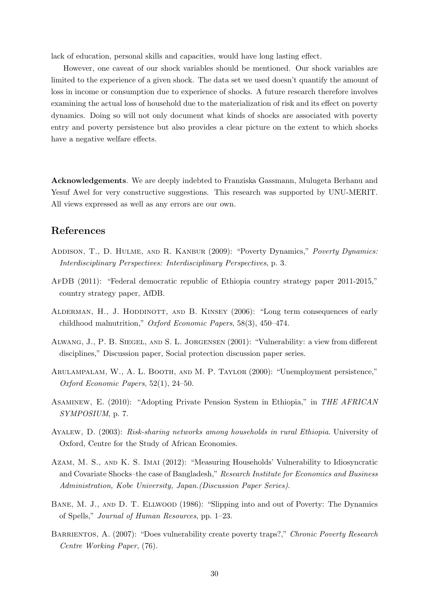lack of education, personal skills and capacities, would have long lasting effect.

However, one caveat of our shock variables should be mentioned. Our shock variables are limited to the experience of a given shock. The data set we used doesn't quantify the amount of loss in income or consumption due to experience of shocks. A future research therefore involves examining the actual loss of household due to the materialization of risk and its effect on poverty dynamics. Doing so will not only document what kinds of shocks are associated with poverty entry and poverty persistence but also provides a clear picture on the extent to which shocks have a negative welfare effects.

Acknowledgements. We are deeply indebted to Franziska Gassmann, Mulugeta Berhanu and Yesuf Awel for very constructive suggestions. This research was supported by UNU-MERIT. All views expressed as well as any errors are our own.

## References

- Addison, T., D. Hulme, and R. Kanbur (2009): "Poverty Dynamics," Poverty Dynamics: Interdisciplinary Perspectives: Interdisciplinary Perspectives, p. 3.
- AfDB (2011): "Federal democratic republic of Ethiopia country strategy paper 2011-2015," country strategy paper, AfDB.
- Alderman, H., J. Hoddinott, and B. Kinsey (2006): "Long term consequences of early childhood malnutrition," Oxford Economic Papers, 58(3), 450–474.
- Alwang, J., P. B. Siegel, and S. L. Jorgensen (2001): "Vulnerability: a view from different disciplines," Discussion paper, Social protection discussion paper series.
- Arulampalam, W., A. L. Booth, and M. P. Taylor (2000): "Unemployment persistence," Oxford Economic Papers, 52(1), 24–50.
- Asaminew, E. (2010): "Adopting Private Pension System in Ethiopia," in THE AFRICAN SYMPOSIUM, p. 7.
- Ayalew, D. (2003): Risk-sharing networks among households in rural Ethiopia. University of Oxford, Centre for the Study of African Economies.
- Azam, M. S., and K. S. Imai (2012): "Measuring Households' Vulnerability to Idiosyncratic and Covariate Shocks–the case of Bangladesh," Research Institute for Economics and Business Administration, Kobe University, Japan.(Discussion Paper Series).
- Bane, M. J., and D. T. Ellwood (1986): "Slipping into and out of Poverty: The Dynamics of Spells," Journal of Human Resources, pp. 1–23.
- BARRIENTOS, A. (2007): "Does vulnerability create poverty traps?," Chronic Poverty Research Centre Working Paper, (76).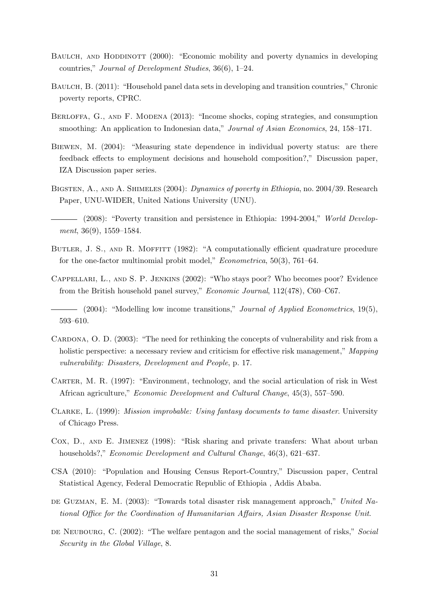- BAULCH, AND HODDINOTT (2000): "Economic mobility and poverty dynamics in developing countries," Journal of Development Studies, 36(6), 1–24.
- BAULCH, B. (2011): "Household panel data sets in developing and transition countries," Chronic poverty reports, CPRC.
- BERLOFFA, G., AND F. MODENA (2013): "Income shocks, coping strategies, and consumption smoothing: An application to Indonesian data," Journal of Asian Economics, 24, 158–171.
- Biewen, M. (2004): "Measuring state dependence in individual poverty status: are there feedback effects to employment decisions and household composition?," Discussion paper, IZA Discussion paper series.
- BIGSTEN, A., AND A. SHIMELES (2004): *Dynamics of poverty in Ethiopia*, no. 2004/39. Research Paper, UNU-WIDER, United Nations University (UNU).
- (2008): "Poverty transition and persistence in Ethiopia: 1994-2004," World Development, 36(9), 1559–1584.
- BUTLER, J. S., AND R. MOFFITT (1982): "A computationally efficient quadrature procedure for the one-factor multinomial probit model," Econometrica, 50(3), 761–64.
- Cappellari, L., and S. P. Jenkins (2002): "Who stays poor? Who becomes poor? Evidence from the British household panel survey," Economic Journal, 112(478), C60–C67.

(2004): "Modelling low income transitions," *Journal of Applied Econometrics*, 19(5), 593–610.

- CARDONA, O. D. (2003): "The need for rethinking the concepts of vulnerability and risk from a holistic perspective: a necessary review and criticism for effective risk management," Mapping vulnerability: Disasters, Development and People, p. 17.
- CARTER, M. R. (1997): "Environment, technology, and the social articulation of risk in West African agriculture," Economic Development and Cultural Change, 45(3), 557–590.
- Clarke, L. (1999): Mission improbable: Using fantasy documents to tame disaster. University of Chicago Press.
- Cox, D., and E. Jimenez (1998): "Risk sharing and private transfers: What about urban households?," Economic Development and Cultural Change, 46(3), 621–637.
- CSA (2010): "Population and Housing Census Report-Country," Discussion paper, Central Statistical Agency, Federal Democratic Republic of Ethiopia , Addis Ababa.
- DE GUZMAN, E. M. (2003): "Towards total disaster risk management approach," United National Office for the Coordination of Humanitarian Affairs, Asian Disaster Response Unit.
- DE NEUBOURG, C. (2002): "The welfare pentagon and the social management of risks," Social Security in the Global Village, 8.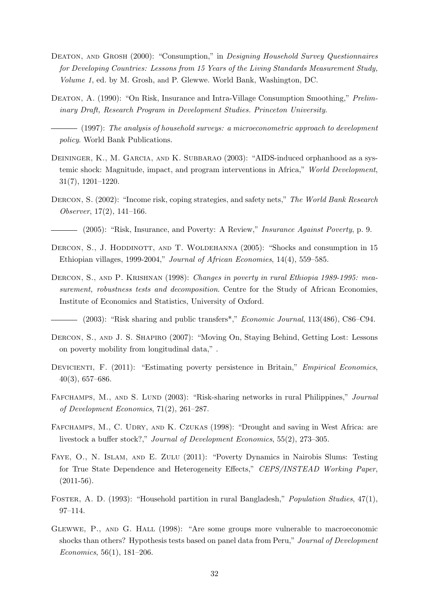- DEATON, AND GROSH (2000): "Consumption," in *Designing Household Survey Questionnaires* for Developing Countries: Lessons from 15 Years of the Living Standards Measurement Study, Volume 1, ed. by M. Grosh, and P. Glewwe. World Bank, Washington, DC.
- DEATON, A. (1990): "On Risk, Insurance and Intra-Village Consumption Smoothing," Preliminary Draft, Research Program in Development Studies. Princeton University.

 $-$  (1997): The analysis of household surveys: a microeconometric approach to development policy. World Bank Publications.

- DEININGER, K., M. GARCIA, AND K. SUBBARAO (2003): "AIDS-induced orphanhood as a systemic shock: Magnitude, impact, and program interventions in Africa," World Development, 31(7), 1201–1220.
- DERCON, S. (2002): "Income risk, coping strategies, and safety nets," The World Bank Research Observer, 17(2), 141–166.
- (2005): "Risk, Insurance, and Poverty: A Review," Insurance Against Poverty, p. 9.
- DERCON, S., J. HODDINOTT, AND T. WOLDEHANNA (2005): "Shocks and consumption in 15 Ethiopian villages, 1999-2004," Journal of African Economies, 14(4), 559–585.
- DERCON, S., AND P. KRISHNAN (1998): Changes in poverty in rural Ethiopia 1989-1995: measurement, robustness tests and decomposition. Centre for the Study of African Economies, Institute of Economics and Statistics, University of Oxford.

 $(2003)$ : "Risk sharing and public transfers<sup>\*</sup>," *Economic Journal*, 113(486), C86–C94.

- Dercon, S., and J. S. Shapiro (2007): "Moving On, Staying Behind, Getting Lost: Lessons on poverty mobility from longitudinal data," .
- DEVICIENTI, F. (2011): "Estimating poverty persistence in Britain," *Empirical Economics*, 40(3), 657–686.
- FAFCHAMPS, M., AND S. LUND (2003): "Risk-sharing networks in rural Philippines," Journal of Development Economics, 71(2), 261–287.
- FAFCHAMPS, M., C. UDRY, AND K. CZUKAS (1998): "Drought and saving in West Africa: are livestock a buffer stock?," Journal of Development Economics, 55(2), 273–305.
- Faye, O., N. Islam, and E. Zulu (2011): "Poverty Dynamics in Nairobis Slums: Testing for True State Dependence and Heterogeneity Effects," CEPS/INSTEAD Working Paper,  $(2011-56)$ .
- Foster, A. D. (1993): "Household partition in rural Bangladesh," Population Studies, 47(1), 97–114.
- Glewwe, P., and G. Hall (1998): "Are some groups more vulnerable to macroeconomic shocks than others? Hypothesis tests based on panel data from Peru," Journal of Development Economics, 56(1), 181–206.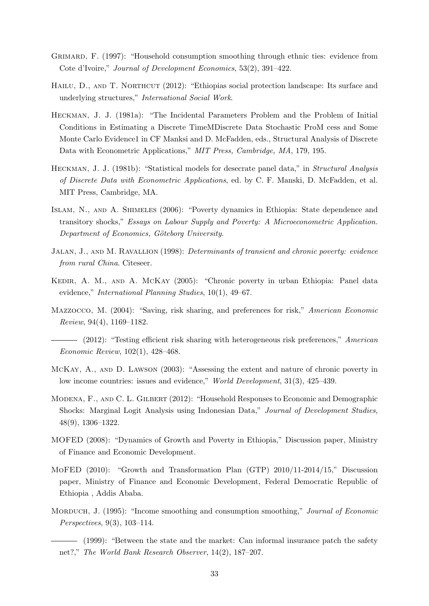- GRIMARD, F. (1997): "Household consumption smoothing through ethnic ties: evidence from Cote d'Ivoire," Journal of Development Economics, 53(2), 391–422.
- HAILU, D., AND T. NORTHCUT (2012): "Ethiopias social protection landscape: Its surface and underlying structures," International Social Work.
- Heckman, J. J. (1981a): "The Incidental Parameters Problem and the Problem of Initial Conditions in Estimating a Discrete TimeMDiscrete Data Stochastic ProM cess and Some Monte Carlo Evidence1 in CF Manksi and D. McFadden, eds., Structural Analysis of Discrete Data with Econometric Applications," MIT Press, Cambridge, MA, 179, 195.
- HECKMAN, J. J. (1981b): "Statistical models for desecrate panel data," in *Structural Analysis* of Discrete Data with Econometric Applications, ed. by C. F. Manski, D. McFadden, et al. MIT Press, Cambridge, MA.
- Islam, N., and A. Shimeles (2006): "Poverty dynamics in Ethiopia: State dependence and transitory shocks," Essays on Labour Supply and Poverty: A Microeconometric Application. Department of Economics, Göteborg University.
- JALAN, J., AND M. RAVALLION (1998): *Determinants of transient and chronic poverty: evidence* from rural China. Citeseer.
- Kedir, A. M., and A. McKay (2005): "Chronic poverty in urban Ethiopia: Panel data evidence," International Planning Studies, 10(1), 49–67.
- Mazzocco, M. (2004): "Saving, risk sharing, and preferences for risk," American Economic Review, 94(4), 1169–1182.
- (2012): "Testing efficient risk sharing with heterogeneous risk preferences," American Economic Review, 102(1), 428–468.
- McKay, A., and D. Lawson (2003): "Assessing the extent and nature of chronic poverty in low income countries: issues and evidence," World Development, 31(3), 425–439.
- Modena, F., and C. L. Gilbert (2012): "Household Responses to Economic and Demographic Shocks: Marginal Logit Analysis using Indonesian Data," Journal of Development Studies, 48(9), 1306–1322.
- MOFED (2008): "Dynamics of Growth and Poverty in Ethiopia," Discussion paper, Ministry of Finance and Economic Development.
- MoFED (2010): "Growth and Transformation Plan (GTP) 2010/11-2014/15," Discussion paper, Ministry of Finance and Economic Development, Federal Democratic Republic of Ethiopia , Addis Ababa.
- MORDUCH, J. (1995): "Income smoothing and consumption smoothing," *Journal of Economic* Perspectives, 9(3), 103–114.
	- (1999): "Between the state and the market: Can informal insurance patch the safety net?," The World Bank Research Observer, 14(2), 187–207.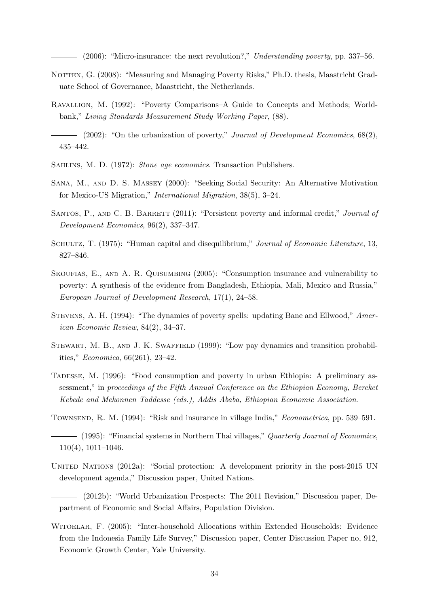(2006): "Micro-insurance: the next revolution?," Understanding poverty, pp. 337–56.

- NOTTEN, G. (2008): "Measuring and Managing Poverty Risks," Ph.D. thesis, Maastricht Graduate School of Governance, Maastricht, the Netherlands.
- Ravallion, M. (1992): "Poverty Comparisons–A Guide to Concepts and Methods; Worldbank," Living Standards Measurement Study Working Paper, (88).

 $-$  (2002): "On the urbanization of poverty," Journal of Development Economics, 68(2), 435–442.

- Sahlins, M. D. (1972): Stone age economics. Transaction Publishers.
- Sana, M., and D. S. Massey (2000): "Seeking Social Security: An Alternative Motivation for Mexico-US Migration," International Migration, 38(5), 3–24.
- SANTOS, P., AND C. B. BARRETT (2011): "Persistent poverty and informal credit," Journal of Development Economics, 96(2), 337–347.
- SCHULTZ, T. (1975): "Human capital and disequilibrium," Journal of Economic Literature, 13, 827–846.
- SKOUFIAS, E., AND A. R. QUISUMBING (2005): "Consumption insurance and vulnerability to poverty: A synthesis of the evidence from Bangladesh, Ethiopia, Mali, Mexico and Russia," European Journal of Development Research, 17(1), 24–58.
- STEVENS, A. H. (1994): "The dynamics of poverty spells: updating Bane and Ellwood," American Economic Review, 84(2), 34–37.
- STEWART, M. B., AND J. K. SWAFFIELD (1999): "Low pay dynamics and transition probabilities," Economica, 66(261), 23–42.
- Tadesse, M. (1996): "Food consumption and poverty in urban Ethiopia: A preliminary assessment," in proceedings of the Fifth Annual Conference on the Ethiopian Economy, Bereket Kebede and Mekonnen Taddesse (eds.), Addis Ababa, Ethiopian Economic Association.
- Townsend, R. M. (1994): "Risk and insurance in village India," Econometrica, pp. 539–591.

 $-$  (1995): "Financial systems in Northern Thai villages," Quarterly Journal of Economics, 110(4), 1011–1046.

- UNITED NATIONS (2012a): "Social protection: A development priority in the post-2015 UN development agenda," Discussion paper, United Nations.
- (2012b): "World Urbanization Prospects: The 2011 Revision," Discussion paper, Department of Economic and Social Affairs, Population Division.
- WITOELAR, F. (2005): "Inter-household Allocations within Extended Households: Evidence from the Indonesia Family Life Survey," Discussion paper, Center Discussion Paper no, 912, Economic Growth Center, Yale University.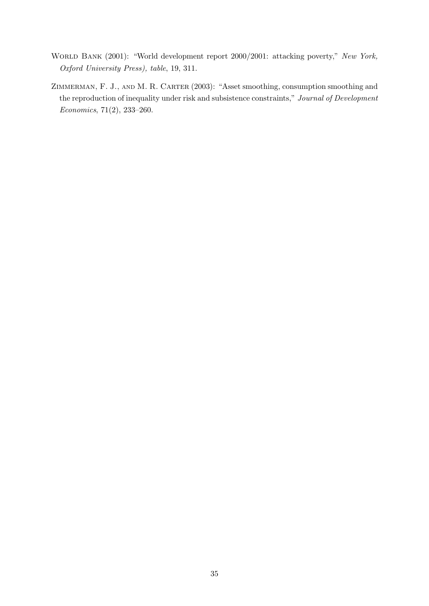- World Bank (2001): "World development report 2000/2001: attacking poverty," New York, Oxford University Press), table, 19, 311.
- ZIMMERMAN, F. J., AND M. R. CARTER (2003): "Asset smoothing, consumption smoothing and the reproduction of inequality under risk and subsistence constraints," Journal of Development Economics, 71(2), 233–260.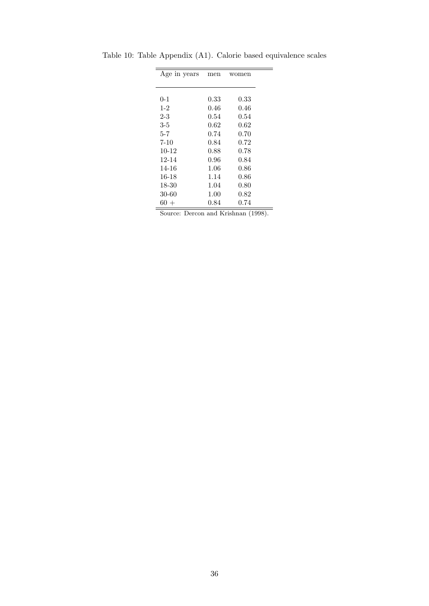| Age in years | men      | women |
|--------------|----------|-------|
|              |          |       |
| $0 - 1$      | 0.33     | 0.33  |
| $1-2$        | 0.46     | 0.46  |
| 2-3          | 0.54     | 0.54  |
| 3-5          | $0.62\,$ | 0.62  |
| $5 - 7$      | 0.74     | 0.70  |
| $7 - 10$     | 0.84     | 0.72  |
| $10 - 12$    | 0.88     | 0.78  |
| 12-14        | $0.96\,$ | 0.84  |
| 14-16        | $1.06\,$ | 0.86  |
| 16-18        | 1.14     | 0.86  |
| 18-30        | 1.04     | 0.80  |
| $30 - 60$    | 1.00     | 0.82  |
| $60 +$       | 0.84     | 0.74  |

<span id="page-36-0"></span>Table 10: Table Appendix (A1). Calorie based equivalence scales

Source: Dercon and Krishnan (1998).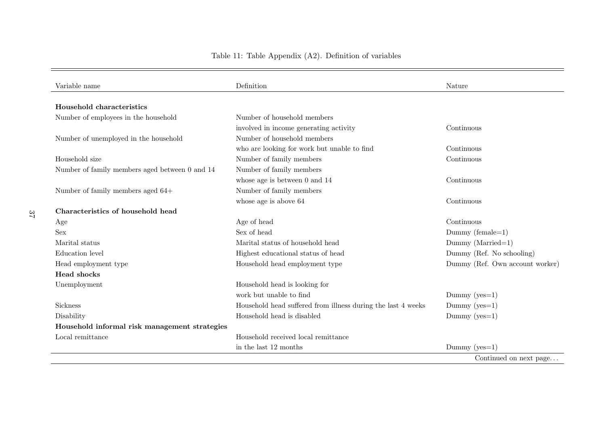## Table 11: Table Appendix (A2). Definition of variables

<span id="page-37-0"></span>

| Variable name                                  | Definition                                                   | Nature                          |
|------------------------------------------------|--------------------------------------------------------------|---------------------------------|
| Household characteristics                      |                                                              |                                 |
| Number of employees in the household           | Number of household members                                  |                                 |
|                                                | involved in income generating activity                       | Continuous                      |
| Number of unemployed in the household          | Number of household members                                  |                                 |
|                                                | who are looking for work but unable to find                  | Continuous                      |
| Household size                                 | Number of family members                                     | Continuous                      |
| Number of family members aged between 0 and 14 | Number of family members                                     |                                 |
|                                                | whose age is between $0$ and $14$                            | Continuous                      |
| Number of family members aged 64+              | Number of family members                                     |                                 |
|                                                | whose age is above 64                                        | Continuous                      |
| Characteristics of household head              |                                                              |                                 |
|                                                | Age of head                                                  | Continuous                      |
| Age<br><b>Sex</b>                              | Sex of head                                                  | Dummy (female= $1$ )            |
| Marital status                                 | Marital status of household head                             |                                 |
|                                                |                                                              | $Dummy$ (Married=1)             |
| Education level                                | Highest educational status of head                           | Dummy (Ref. No schooling)       |
| Head employment type                           | Household head employment type                               | Dummy (Ref. Own account worker) |
| <b>Head shocks</b>                             |                                                              |                                 |
| Unemployment                                   | Household head is looking for                                |                                 |
|                                                | work but unable to find                                      | Dummy ( $yes=1$ )               |
| Sickness                                       | Household head suffered from illness during the last 4 weeks | Dummy ( $yes=1$ )               |
| Disability                                     | Household head is disabled                                   | Dummy ( $yes=1$ )               |
| Household informal risk management strategies  |                                                              |                                 |
| Local remittance                               | Household received local remittance                          |                                 |
|                                                | in the last 12 months                                        | Dummy ( $yes=1$ )               |
|                                                |                                                              | Continued on next page          |